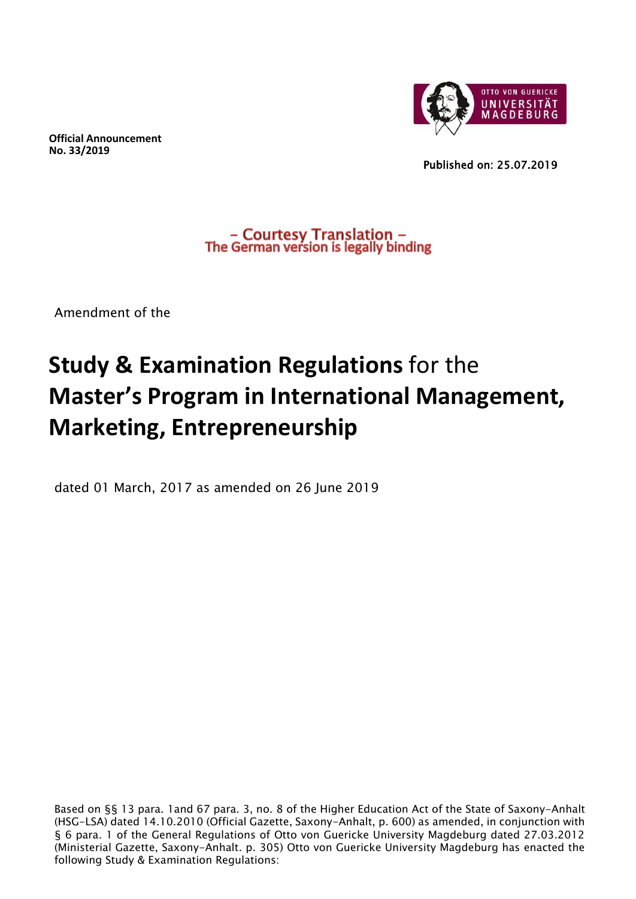**Official Announcement No. 33/2019**



Published on: 25.07.2019

- Courtesy Translation -<br>The German version is legally binding

Amendment of the

# **Study & Examination Regulations** for the **Master's Program in International Management, Marketing, Entrepreneurship**

dated 01 March, 2017 as amended on 26 June 2019

Based on §§ 13 para. 1and 67 para. 3, no. 8 of the Higher Education Act of the State of Saxony-Anhalt (HSG-LSA) dated 14.10.2010 (Official Gazette, Saxony-Anhalt, p. 600) as amended, in conjunction with § 6 para. 1 of the General Regulations of Otto von Guericke University Magdeburg dated 27.03.2012 (Ministerial Gazette, Saxony-Anhalt. p. 305) Otto von Guericke University Magdeburg has enacted the following Study & Examination Regulations: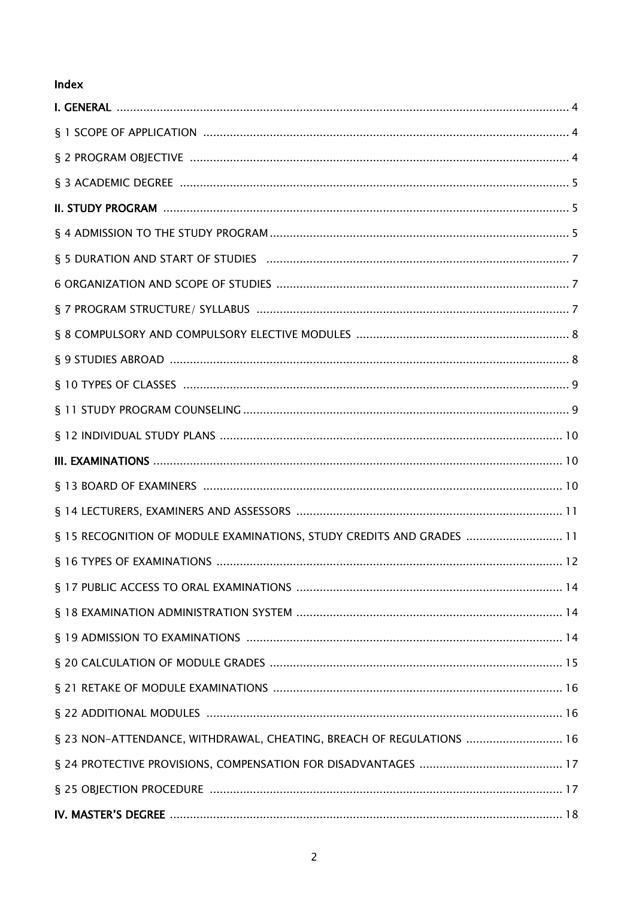## Index

| § 15 RECOGNITION OF MODULE EXAMINATIONS, STUDY CREDITS AND GRADES  11 |
|-----------------------------------------------------------------------|
|                                                                       |
|                                                                       |
|                                                                       |
|                                                                       |
|                                                                       |
|                                                                       |
|                                                                       |
| § 23 NON-ATTENDANCE, WITHDRAWAL, CHEATING, BREACH OF REGULATIONS  16  |
|                                                                       |
|                                                                       |
|                                                                       |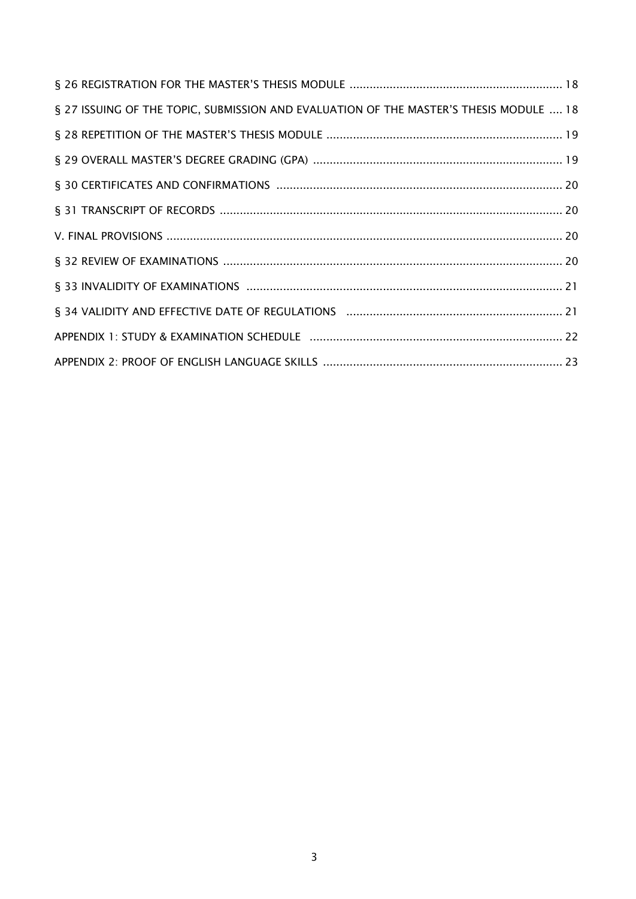| § 27 ISSUING OF THE TOPIC, SUBMISSION AND EVALUATION OF THE MASTER'S THESIS MODULE  18 |  |
|----------------------------------------------------------------------------------------|--|
|                                                                                        |  |
|                                                                                        |  |
|                                                                                        |  |
|                                                                                        |  |
|                                                                                        |  |
|                                                                                        |  |
|                                                                                        |  |
|                                                                                        |  |
|                                                                                        |  |
|                                                                                        |  |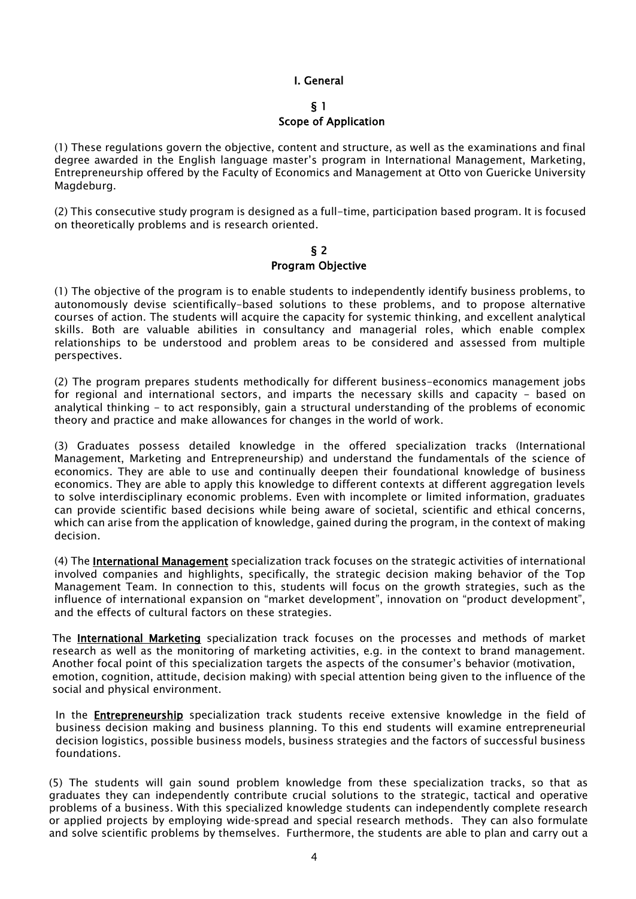#### I. General

#### § 1

#### Scope of Application

(1) These regulations govern the objective, content and structure, as well as the examinations and final degree awarded in the English language master's program in International Management, Marketing, Entrepreneurship offered by the Faculty of Economics and Management at Otto von Guericke University Magdeburg.

(2) This consecutive study program is designed as a full-time, participation based program. It is focused on theoretically problems and is research oriented.

#### § 2 Program Objective

(1) The objective of the program is to enable students to independently identify business problems, to autonomously devise scientifically-based solutions to these problems, and to propose alternative courses of action. The students will acquire the capacity for systemic thinking, and excellent analytical skills. Both are valuable abilities in consultancy and managerial roles, which enable complex relationships to be understood and problem areas to be considered and assessed from multiple perspectives.

(2) The program prepares students methodically for different business-economics management jobs for regional and international sectors, and imparts the necessary skills and capacity - based on analytical thinking - to act responsibly, gain a structural understanding of the problems of economic theory and practice and make allowances for changes in the world of work.

(3) Graduates possess detailed knowledge in the offered specialization tracks (International Management, Marketing and Entrepreneurship) and understand the fundamentals of the science of economics. They are able to use and continually deepen their foundational knowledge of business economics. They are able to apply this knowledge to different contexts at different aggregation levels to solve interdisciplinary economic problems. Even with incomplete or limited information, graduates can provide scientific based decisions while being aware of societal, scientific and ethical concerns, which can arise from the application of knowledge, gained during the program, in the context of making decision.

(4) The International Management specialization track focuses on the strategic activities of international involved companies and highlights, specifically, the strategic decision making behavior of the Top Management Team. In connection to this, students will focus on the growth strategies, such as the influence of international expansion on "market development", innovation on "product development", and the effects of cultural factors on these strategies.

The International Marketing specialization track focuses on the processes and methods of market research as well as the monitoring of marketing activities, e.g. in the context to brand management. Another focal point of this specialization targets the aspects of the consumer's behavior (motivation, emotion, cognition, attitude, decision making) with special attention being given to the influence of the social and physical environment.

In the **Entrepreneurship** specialization track students receive extensive knowledge in the field of business decision making and business planning. To this end students will examine entrepreneurial decision logistics, possible business models, business strategies and the factors of successful business foundations.

(5) The students will gain sound problem knowledge from these specialization tracks, so that as graduates they can independently contribute crucial solutions to the strategic, tactical and operative problems of a business. With this specialized knowledge students can independently complete research or applied projects by employing wide-spread and special research methods. They can also formulate and solve scientific problems by themselves. Furthermore, the students are able to plan and carry out a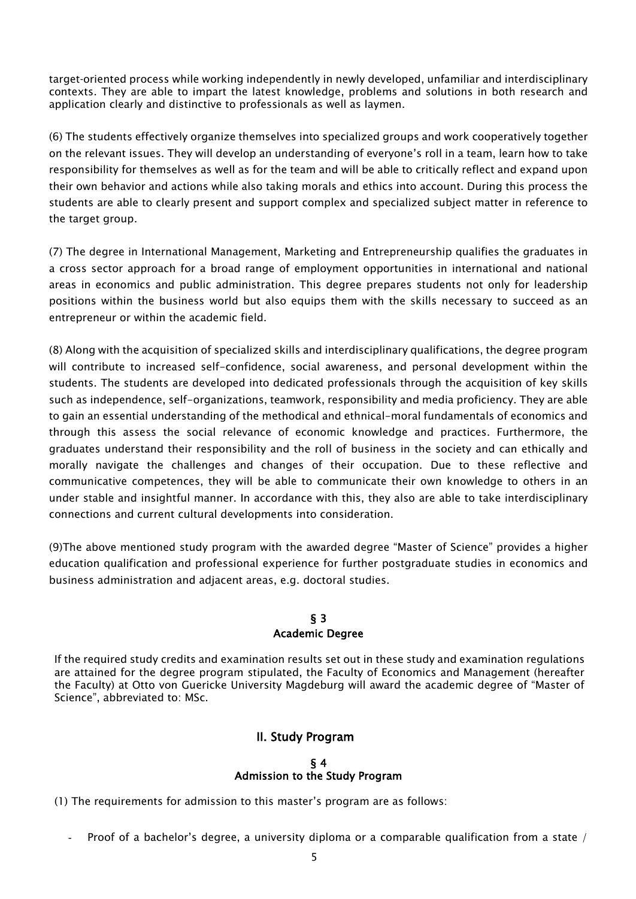target-oriented process while working independently in newly developed, unfamiliar and interdisciplinary contexts. They are able to impart the latest knowledge, problems and solutions in both research and application clearly and distinctive to professionals as well as laymen.

(6) The students effectively organize themselves into specialized groups and work cooperatively together on the relevant issues. They will develop an understanding of everyone's roll in a team, learn how to take responsibility for themselves as well as for the team and will be able to critically reflect and expand upon their own behavior and actions while also taking morals and ethics into account. During this process the students are able to clearly present and support complex and specialized subject matter in reference to the target group.

(7) The degree in International Management, Marketing and Entrepreneurship qualifies the graduates in a cross sector approach for a broad range of employment opportunities in international and national areas in economics and public administration. This degree prepares students not only for leadership positions within the business world but also equips them with the skills necessary to succeed as an entrepreneur or within the academic field.

(8) Along with the acquisition of specialized skills and interdisciplinary qualifications, the degree program will contribute to increased self-confidence, social awareness, and personal development within the students. The students are developed into dedicated professionals through the acquisition of key skills such as independence, self-organizations, teamwork, responsibility and media proficiency. They are able to gain an essential understanding of the methodical and ethnical-moral fundamentals of economics and through this assess the social relevance of economic knowledge and practices. Furthermore, the graduates understand their responsibility and the roll of business in the society and can ethically and morally navigate the challenges and changes of their occupation. Due to these reflective and communicative competences, they will be able to communicate their own knowledge to others in an under stable and insightful manner. In accordance with this, they also are able to take interdisciplinary connections and current cultural developments into consideration.

(9)The above mentioned study program with the awarded degree "Master of Science" provides a higher education qualification and professional experience for further postgraduate studies in economics and business administration and adjacent areas, e.g. doctoral studies.

## § 3 Academic Degree

If the required study credits and examination results set out in these study and examination regulations are attained for the degree program stipulated, the Faculty of Economics and Management (hereafter the Faculty) at Otto von Guericke University Magdeburg will award the academic degree of "Master of Science", abbreviated to: MSc.

## II. Study Program

#### § 4 Admission to the Study Program

(1) The requirements for admission to this master's program are as follows:

Proof of a bachelor's degree, a university diploma or a comparable qualification from a state /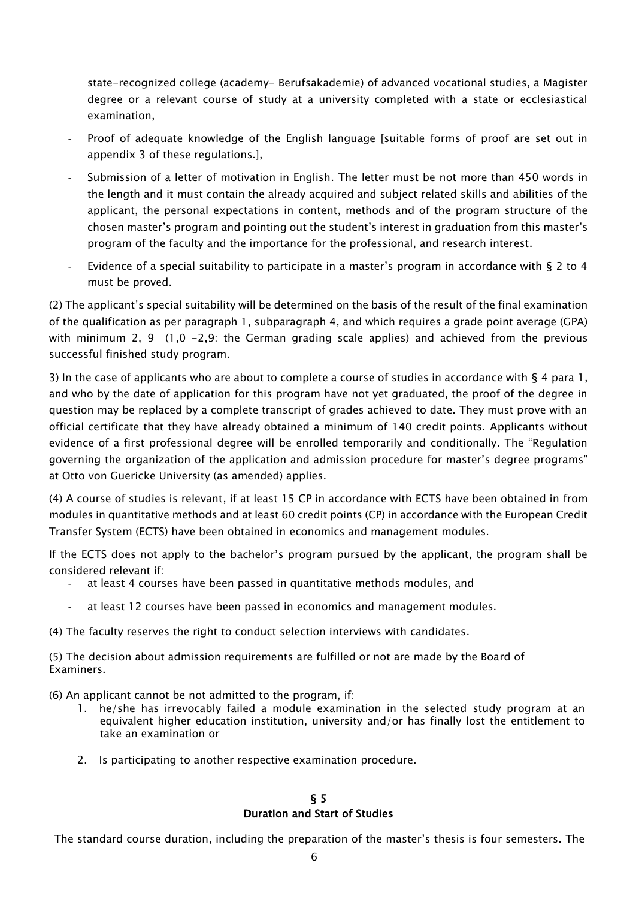state-recognized college (academy- Berufsakademie) of advanced vocational studies, a Magister degree or a relevant course of study at a university completed with a state or ecclesiastical examination,

- Proof of adequate knowledge of the English language [suitable forms of proof are set out in appendix 3 of these regulations.],
- Submission of a letter of motivation in English. The letter must be not more than 450 words in the length and it must contain the already acquired and subject related skills and abilities of the applicant, the personal expectations in content, methods and of the program structure of the chosen master's program and pointing out the student's interest in graduation from this master's program of the faculty and the importance for the professional, and research interest.
- Evidence of a special suitability to participate in a master's program in accordance with  $\S 2$  to 4 must be proved.

(2) The applicant's special suitability will be determined on the basis of the result of the final examination of the qualification as per paragraph 1, subparagraph 4, and which requires a grade point average (GPA) with minimum 2, 9 (1,0 -2,9: the German grading scale applies) and achieved from the previous successful finished study program.

3) In the case of applicants who are about to complete a course of studies in accordance with  $\S$  4 para 1, and who by the date of application for this program have not yet graduated, the proof of the degree in question may be replaced by a complete transcript of grades achieved to date. They must prove with an official certificate that they have already obtained a minimum of 140 credit points. Applicants without evidence of a first professional degree will be enrolled temporarily and conditionally. The "Regulation governing the organization of the application and admission procedure for master's degree programs" at Otto von Guericke University (as amended) applies.

(4) A course of studies is relevant, if at least 15 CP in accordance with ECTS have been obtained in from modules in quantitative methods and at least 60 credit points (CP) in accordance with the European Credit Transfer System (ECTS) have been obtained in economics and management modules.

If the ECTS does not apply to the bachelor's program pursued by the applicant, the program shall be considered relevant if:

- at least 4 courses have been passed in quantitative methods modules, and
- at least 12 courses have been passed in economics and management modules.
- (4) The faculty reserves the right to conduct selection interviews with candidates.

(5) The decision about admission requirements are fulfilled or not are made by the Board of Examiners.

(6) An applicant cannot be not admitted to the program, if:

- 1. he/she has irrevocably failed a module examination in the selected study program at an equivalent higher education institution, university and/or has finally lost the entitlement to take an examination or
- 2. Is participating to another respective examination procedure.

## § 5 Duration and Start of Studies

The standard course duration, including the preparation of the master's thesis is four semesters. The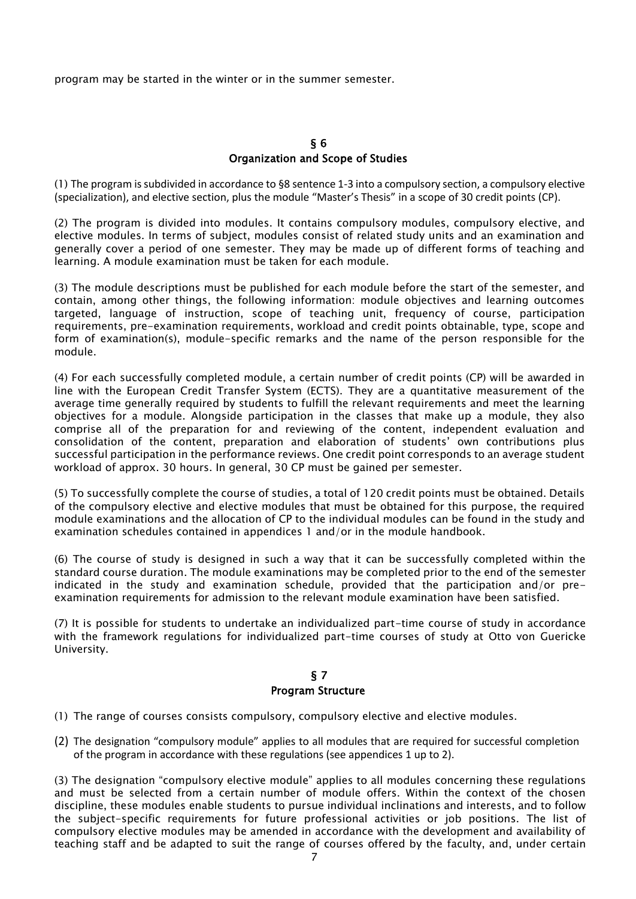program may be started in the winter or in the summer semester.

#### § 6 Organization and Scope of Studies

(1) The program is subdivided in accordance to §8 sentence 1-3 into a compulsory section, a compulsory elective (specialization), and elective section, plus the module "Master's Thesis" in a scope of 30 credit points (CP).

(2) The program is divided into modules. It contains compulsory modules, compulsory elective, and elective modules. In terms of subject, modules consist of related study units and an examination and generally cover a period of one semester. They may be made up of different forms of teaching and learning. A module examination must be taken for each module.

(3) The module descriptions must be published for each module before the start of the semester, and contain, among other things, the following information: module objectives and learning outcomes targeted, language of instruction, scope of teaching unit, frequency of course, participation requirements, pre-examination requirements, workload and credit points obtainable, type, scope and form of examination(s), module-specific remarks and the name of the person responsible for the module.

(4) For each successfully completed module, a certain number of credit points (CP) will be awarded in line with the European Credit Transfer System (ECTS). They are a quantitative measurement of the average time generally required by students to fulfill the relevant requirements and meet the learning objectives for a module. Alongside participation in the classes that make up a module, they also comprise all of the preparation for and reviewing of the content, independent evaluation and consolidation of the content, preparation and elaboration of students' own contributions plus successful participation in the performance reviews. One credit point corresponds to an average student workload of approx. 30 hours. In general, 30 CP must be gained per semester.

(5) To successfully complete the course of studies, a total of 120 credit points must be obtained. Details of the compulsory elective and elective modules that must be obtained for this purpose, the required module examinations and the allocation of CP to the individual modules can be found in the study and examination schedules contained in appendices 1 and/or in the module handbook.

(6) The course of study is designed in such a way that it can be successfully completed within the standard course duration. The module examinations may be completed prior to the end of the semester indicated in the study and examination schedule, provided that the participation and/or preexamination requirements for admission to the relevant module examination have been satisfied.

(7) It is possible for students to undertake an individualized part-time course of study in accordance with the framework regulations for individualized part-time courses of study at Otto von Guericke University.

## § 7 Program Structure

- (1) The range of courses consists compulsory, compulsory elective and elective modules.
- (2) The designation "compulsory module" applies to all modules that are required for successful completion of the program in accordance with these regulations (see appendices 1 up to 2).

(3) The designation "compulsory elective module" applies to all modules concerning these regulations and must be selected from a certain number of module offers. Within the context of the chosen discipline, these modules enable students to pursue individual inclinations and interests, and to follow the subject-specific requirements for future professional activities or job positions. The list of compulsory elective modules may be amended in accordance with the development and availability of teaching staff and be adapted to suit the range of courses offered by the faculty, and, under certain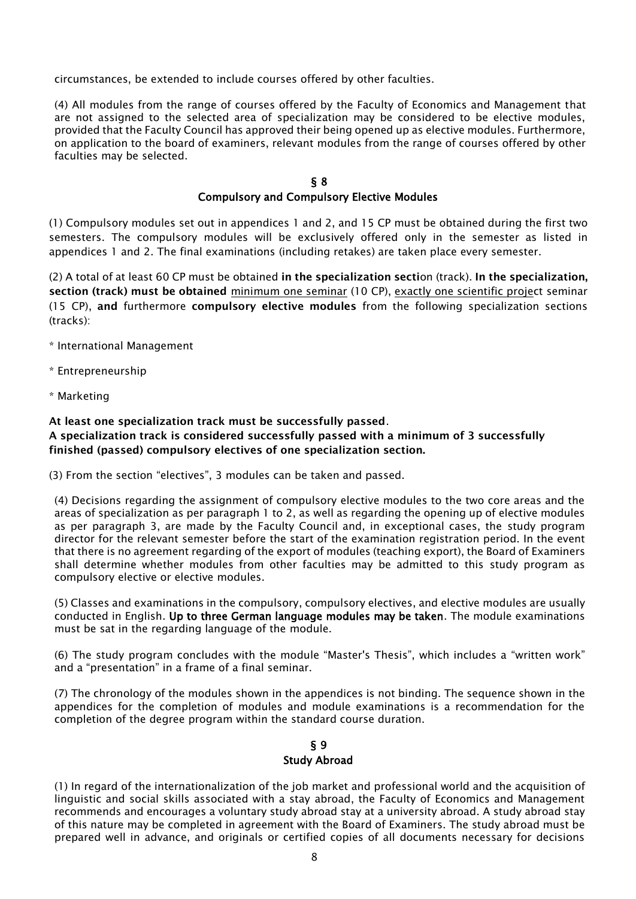circumstances, be extended to include courses offered by other faculties.

(4) All modules from the range of courses offered by the Faculty of Economics and Management that are not assigned to the selected area of specialization may be considered to be elective modules, provided that the Faculty Council has approved their being opened up as elective modules. Furthermore, on application to the board of examiners, relevant modules from the range of courses offered by other faculties may be selected.

#### § 8

#### Compulsory and Compulsory Elective Modules

(1) Compulsory modules set out in appendices 1 and 2, and 15 CP must be obtained during the first two semesters. The compulsory modules will be exclusively offered only in the semester as listed in appendices 1 and 2. The final examinations (including retakes) are taken place every semester.

(2) A total of at least 60 CP must be obtained in the specialization section (track). In the specialization, section (track) must be obtained minimum one seminar (10 CP), exactly one scientific project seminar (15 CP), and furthermore compulsory elective modules from the following specialization sections (tracks):

\* International Management

- \* Entrepreneurship
- \* Marketing

At least one specialization track must be successfully passed.

#### A specialization track is considered successfully passed with a minimum of 3 successfully finished (passed) compulsory electives of one specialization section.

(3) From the section "electives", 3 modules can be taken and passed.

(4) Decisions regarding the assignment of compulsory elective modules to the two core areas and the areas of specialization as per paragraph 1 to 2, as well as regarding the opening up of elective modules as per paragraph 3, are made by the Faculty Council and, in exceptional cases, the study program director for the relevant semester before the start of the examination registration period. In the event that there is no agreement regarding of the export of modules (teaching export), the Board of Examiners shall determine whether modules from other faculties may be admitted to this study program as compulsory elective or elective modules.

(5) Classes and examinations in the compulsory, compulsory electives, and elective modules are usually conducted in English. Up to three German language modules may be taken. The module examinations must be sat in the regarding language of the module.

(6) The study program concludes with the module "Master's Thesis", which includes a "written work" and a "presentation" in a frame of a final seminar.

(7) The chronology of the modules shown in the appendices is not binding. The sequence shown in the appendices for the completion of modules and module examinations is a recommendation for the completion of the degree program within the standard course duration.

#### § 9 Study Abroad

(1) In regard of the internationalization of the job market and professional world and the acquisition of linguistic and social skills associated with a stay abroad, the Faculty of Economics and Management recommends and encourages a voluntary study abroad stay at a university abroad. A study abroad stay of this nature may be completed in agreement with the Board of Examiners. The study abroad must be prepared well in advance, and originals or certified copies of all documents necessary for decisions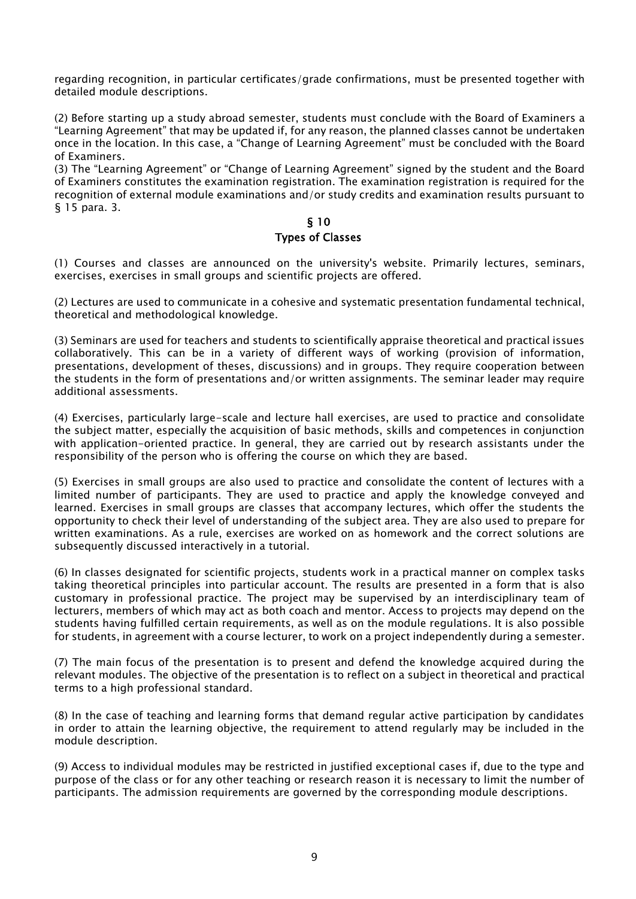regarding recognition, in particular certificates/grade confirmations, must be presented together with detailed module descriptions.

(2) Before starting up a study abroad semester, students must conclude with the Board of Examiners a "Learning Agreement" that may be updated if, for any reason, the planned classes cannot be undertaken once in the location. In this case, a "Change of Learning Agreement" must be concluded with the Board of Examiners.

(3) The "Learning Agreement" or "Change of Learning Agreement" signed by the student and the Board of Examiners constitutes the examination registration. The examination registration is required for the recognition of external module examinations and/or study credits and examination results pursuant to § 15 para. 3.

#### § 10 Types of Classes

(1) Courses and classes are announced on the university's website. Primarily lectures, seminars, exercises, exercises in small groups and scientific projects are offered.

(2) Lectures are used to communicate in a cohesive and systematic presentation fundamental technical, theoretical and methodological knowledge.

(3) Seminars are used for teachers and students to scientifically appraise theoretical and practical issues collaboratively. This can be in a variety of different ways of working (provision of information, presentations, development of theses, discussions) and in groups. They require cooperation between the students in the form of presentations and/or written assignments. The seminar leader may require additional assessments.

(4) Exercises, particularly large-scale and lecture hall exercises, are used to practice and consolidate the subject matter, especially the acquisition of basic methods, skills and competences in conjunction with application-oriented practice. In general, they are carried out by research assistants under the responsibility of the person who is offering the course on which they are based.

(5) Exercises in small groups are also used to practice and consolidate the content of lectures with a limited number of participants. They are used to practice and apply the knowledge conveyed and learned. Exercises in small groups are classes that accompany lectures, which offer the students the opportunity to check their level of understanding of the subject area. They are also used to prepare for written examinations. As a rule, exercises are worked on as homework and the correct solutions are subsequently discussed interactively in a tutorial.

(6) In classes designated for scientific projects, students work in a practical manner on complex tasks taking theoretical principles into particular account. The results are presented in a form that is also customary in professional practice. The project may be supervised by an interdisciplinary team of lecturers, members of which may act as both coach and mentor. Access to projects may depend on the students having fulfilled certain requirements, as well as on the module regulations. It is also possible for students, in agreement with a course lecturer, to work on a project independently during a semester.

(7) The main focus of the presentation is to present and defend the knowledge acquired during the relevant modules. The objective of the presentation is to reflect on a subject in theoretical and practical terms to a high professional standard.

(8) In the case of teaching and learning forms that demand regular active participation by candidates in order to attain the learning objective, the requirement to attend regularly may be included in the module description.

(9) Access to individual modules may be restricted in justified exceptional cases if, due to the type and purpose of the class or for any other teaching or research reason it is necessary to limit the number of participants. The admission requirements are governed by the corresponding module descriptions.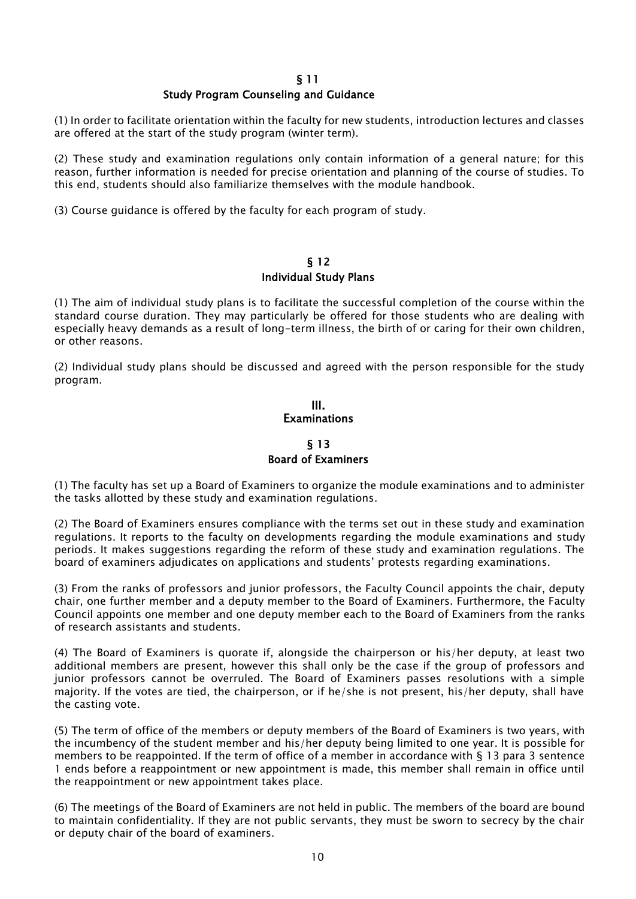#### Study Program Counseling and Guidance

(1) In order to facilitate orientation within the faculty for new students, introduction lectures and classes are offered at the start of the study program (winter term).

(2) These study and examination regulations only contain information of a general nature; for this reason, further information is needed for precise orientation and planning of the course of studies. To this end, students should also familiarize themselves with the module handbook.

(3) Course guidance is offered by the faculty for each program of study.

#### § 12 Individual Study Plans

(1) The aim of individual study plans is to facilitate the successful completion of the course within the standard course duration. They may particularly be offered for those students who are dealing with especially heavy demands as a result of long-term illness, the birth of or caring for their own children, or other reasons.

(2) Individual study plans should be discussed and agreed with the person responsible for the study program.

#### III. **Examinations**

## § 13 Board of Examiners

(1) The faculty has set up a Board of Examiners to organize the module examinations and to administer the tasks allotted by these study and examination regulations.

(2) The Board of Examiners ensures compliance with the terms set out in these study and examination regulations. It reports to the faculty on developments regarding the module examinations and study periods. It makes suggestions regarding the reform of these study and examination regulations. The board of examiners adjudicates on applications and students' protests regarding examinations.

(3) From the ranks of professors and junior professors, the Faculty Council appoints the chair, deputy chair, one further member and a deputy member to the Board of Examiners. Furthermore, the Faculty Council appoints one member and one deputy member each to the Board of Examiners from the ranks of research assistants and students.

(4) The Board of Examiners is quorate if, alongside the chairperson or his/her deputy, at least two additional members are present, however this shall only be the case if the group of professors and junior professors cannot be overruled. The Board of Examiners passes resolutions with a simple majority. If the votes are tied, the chairperson, or if he/she is not present, his/her deputy, shall have the casting vote.

(5) The term of office of the members or deputy members of the Board of Examiners is two years, with the incumbency of the student member and his/her deputy being limited to one year. It is possible for members to be reappointed. If the term of office of a member in accordance with § 13 para 3 sentence 1 ends before a reappointment or new appointment is made, this member shall remain in office until the reappointment or new appointment takes place.

(6) The meetings of the Board of Examiners are not held in public. The members of the board are bound to maintain confidentiality. If they are not public servants, they must be sworn to secrecy by the chair or deputy chair of the board of examiners.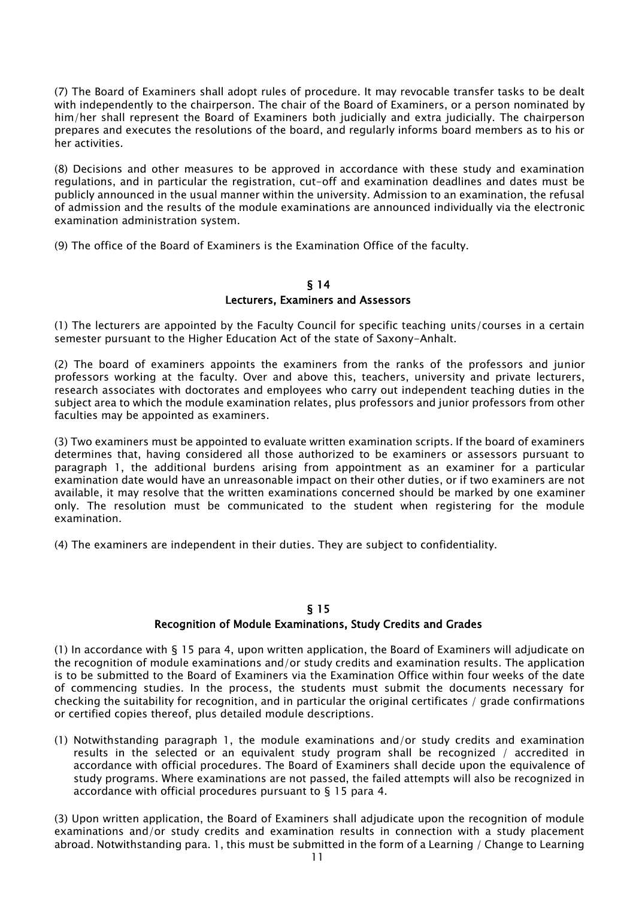(7) The Board of Examiners shall adopt rules of procedure. It may revocable transfer tasks to be dealt with independently to the chairperson. The chair of the Board of Examiners, or a person nominated by him/her shall represent the Board of Examiners both judicially and extra judicially. The chairperson prepares and executes the resolutions of the board, and regularly informs board members as to his or her activities.

(8) Decisions and other measures to be approved in accordance with these study and examination regulations, and in particular the registration, cut-off and examination deadlines and dates must be publicly announced in the usual manner within the university. Admission to an examination, the refusal of admission and the results of the module examinations are announced individually via the electronic examination administration system.

(9) The office of the Board of Examiners is the Examination Office of the faculty.

#### § 14 Lecturers, Examiners and Assessors

(1) The lecturers are appointed by the Faculty Council for specific teaching units/courses in a certain semester pursuant to the Higher Education Act of the state of Saxony-Anhalt.

(2) The board of examiners appoints the examiners from the ranks of the professors and junior professors working at the faculty. Over and above this, teachers, university and private lecturers, research associates with doctorates and employees who carry out independent teaching duties in the subject area to which the module examination relates, plus professors and junior professors from other faculties may be appointed as examiners.

(3) Two examiners must be appointed to evaluate written examination scripts. If the board of examiners determines that, having considered all those authorized to be examiners or assessors pursuant to paragraph 1, the additional burdens arising from appointment as an examiner for a particular examination date would have an unreasonable impact on their other duties, or if two examiners are not available, it may resolve that the written examinations concerned should be marked by one examiner only. The resolution must be communicated to the student when registering for the module examination.

(4) The examiners are independent in their duties. They are subject to confidentiality.

#### § 15

#### Recognition of Module Examinations, Study Credits and Grades

(1) In accordance with § 15 para 4, upon written application, the Board of Examiners will adjudicate on the recognition of module examinations and/or study credits and examination results. The application is to be submitted to the Board of Examiners via the Examination Office within four weeks of the date of commencing studies. In the process, the students must submit the documents necessary for checking the suitability for recognition, and in particular the original certificates / grade confirmations or certified copies thereof, plus detailed module descriptions.

(1) Notwithstanding paragraph 1, the module examinations and/or study credits and examination results in the selected or an equivalent study program shall be recognized / accredited in accordance with official procedures. The Board of Examiners shall decide upon the equivalence of study programs. Where examinations are not passed, the failed attempts will also be recognized in accordance with official procedures pursuant to § 15 para 4.

(3) Upon written application, the Board of Examiners shall adjudicate upon the recognition of module examinations and/or study credits and examination results in connection with a study placement abroad. Notwithstanding para. 1, this must be submitted in the form of a Learning / Change to Learning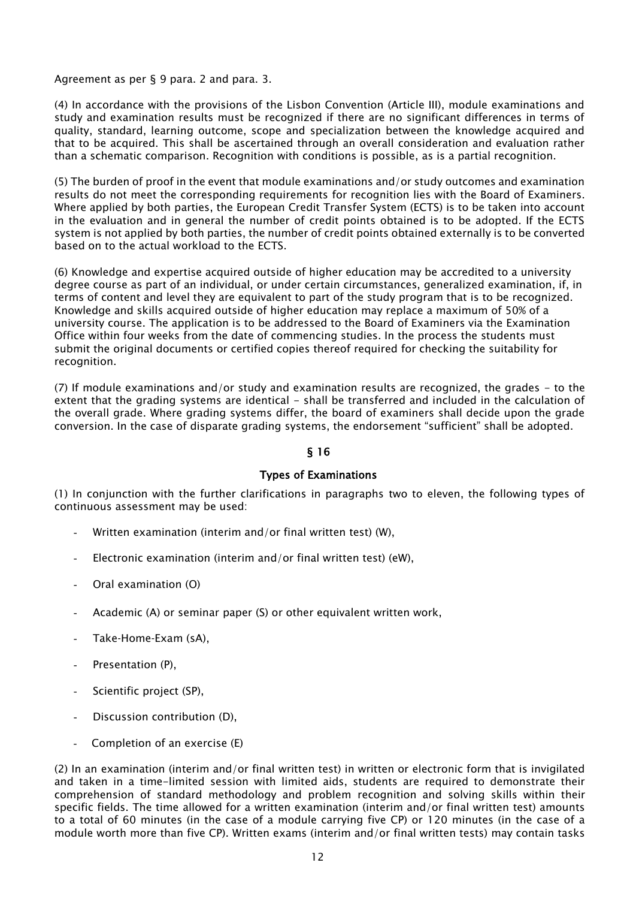Agreement as per § 9 para. 2 and para. 3.

(4) In accordance with the provisions of the Lisbon Convention (Article III), module examinations and study and examination results must be recognized if there are no significant differences in terms of quality, standard, learning outcome, scope and specialization between the knowledge acquired and that to be acquired. This shall be ascertained through an overall consideration and evaluation rather than a schematic comparison. Recognition with conditions is possible, as is a partial recognition.

(5) The burden of proof in the event that module examinations and/or study outcomes and examination results do not meet the corresponding requirements for recognition lies with the Board of Examiners. Where applied by both parties, the European Credit Transfer System (ECTS) is to be taken into account in the evaluation and in general the number of credit points obtained is to be adopted. If the ECTS system is not applied by both parties, the number of credit points obtained externally is to be converted based on to the actual workload to the ECTS.

(6) Knowledge and expertise acquired outside of higher education may be accredited to a university degree course as part of an individual, or under certain circumstances, generalized examination, if, in terms of content and level they are equivalent to part of the study program that is to be recognized. Knowledge and skills acquired outside of higher education may replace a maximum of 50% of a university course. The application is to be addressed to the Board of Examiners via the Examination Office within four weeks from the date of commencing studies. In the process the students must submit the original documents or certified copies thereof required for checking the suitability for recognition.

(7) If module examinations and/or study and examination results are recognized, the grades - to the extent that the grading systems are identical - shall be transferred and included in the calculation of the overall grade. Where grading systems differ, the board of examiners shall decide upon the grade conversion. In the case of disparate grading systems, the endorsement "sufficient" shall be adopted.

#### § 16

#### Types of Examinations

(1) In conjunction with the further clarifications in paragraphs two to eleven, the following types of continuous assessment may be used:

- Written examination (interim and/or final written test) (W),
- Electronic examination (interim and/or final written test) (eW),
- Oral examination (O)
- Academic (A) or seminar paper (S) or other equivalent written work,
- Take-Home-Exam (sA).
- Presentation (P),
- Scientific project (SP),
- Discussion contribution (D),
- Completion of an exercise (E)

(2) In an examination (interim and/or final written test) in written or electronic form that is invigilated and taken in a time-limited session with limited aids, students are required to demonstrate their comprehension of standard methodology and problem recognition and solving skills within their specific fields. The time allowed for a written examination (interim and/or final written test) amounts to a total of 60 minutes (in the case of a module carrying five CP) or 120 minutes (in the case of a module worth more than five CP). Written exams (interim and/or final written tests) may contain tasks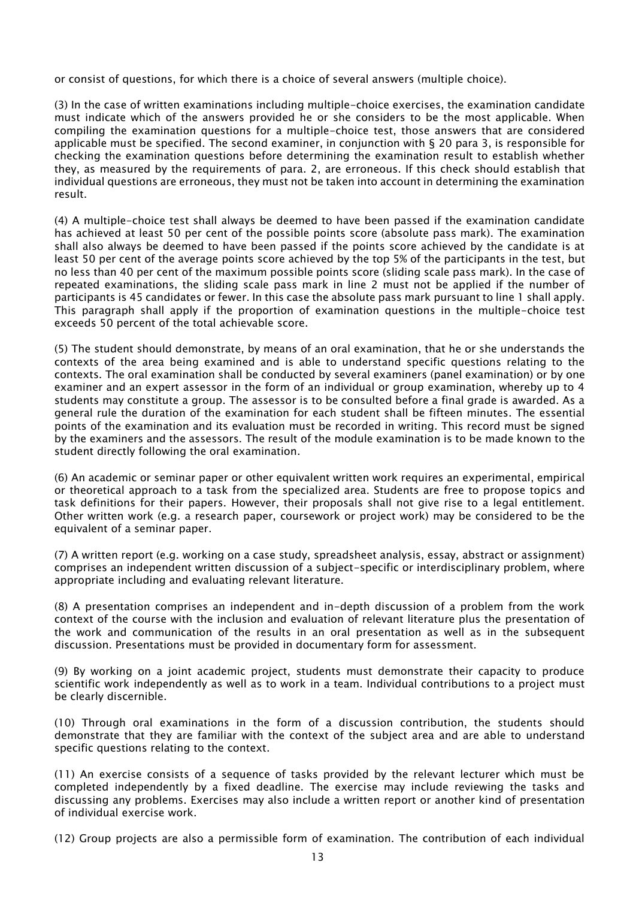or consist of questions, for which there is a choice of several answers (multiple choice).

(3) In the case of written examinations including multiple-choice exercises, the examination candidate must indicate which of the answers provided he or she considers to be the most applicable. When compiling the examination questions for a multiple-choice test, those answers that are considered applicable must be specified. The second examiner, in conjunction with § 20 para 3, is responsible for checking the examination questions before determining the examination result to establish whether they, as measured by the requirements of para. 2, are erroneous. If this check should establish that individual questions are erroneous, they must not be taken into account in determining the examination result.

(4) A multiple-choice test shall always be deemed to have been passed if the examination candidate has achieved at least 50 per cent of the possible points score (absolute pass mark). The examination shall also always be deemed to have been passed if the points score achieved by the candidate is at least 50 per cent of the average points score achieved by the top 5% of the participants in the test, but no less than 40 per cent of the maximum possible points score (sliding scale pass mark). In the case of repeated examinations, the sliding scale pass mark in line 2 must not be applied if the number of participants is 45 candidates or fewer. In this case the absolute pass mark pursuant to line 1 shall apply. This paragraph shall apply if the proportion of examination questions in the multiple-choice test exceeds 50 percent of the total achievable score.

(5) The student should demonstrate, by means of an oral examination, that he or she understands the contexts of the area being examined and is able to understand specific questions relating to the contexts. The oral examination shall be conducted by several examiners (panel examination) or by one examiner and an expert assessor in the form of an individual or group examination, whereby up to 4 students may constitute a group. The assessor is to be consulted before a final grade is awarded. As a general rule the duration of the examination for each student shall be fifteen minutes. The essential points of the examination and its evaluation must be recorded in writing. This record must be signed by the examiners and the assessors. The result of the module examination is to be made known to the student directly following the oral examination.

(6) An academic or seminar paper or other equivalent written work requires an experimental, empirical or theoretical approach to a task from the specialized area. Students are free to propose topics and task definitions for their papers. However, their proposals shall not give rise to a legal entitlement. Other written work (e.g. a research paper, coursework or project work) may be considered to be the equivalent of a seminar paper.

(7) A written report (e.g. working on a case study, spreadsheet analysis, essay, abstract or assignment) comprises an independent written discussion of a subject-specific or interdisciplinary problem, where appropriate including and evaluating relevant literature.

(8) A presentation comprises an independent and in-depth discussion of a problem from the work context of the course with the inclusion and evaluation of relevant literature plus the presentation of the work and communication of the results in an oral presentation as well as in the subsequent discussion. Presentations must be provided in documentary form for assessment.

(9) By working on a joint academic project, students must demonstrate their capacity to produce scientific work independently as well as to work in a team. Individual contributions to a project must be clearly discernible.

(10) Through oral examinations in the form of a discussion contribution, the students should demonstrate that they are familiar with the context of the subject area and are able to understand specific questions relating to the context.

(11) An exercise consists of a sequence of tasks provided by the relevant lecturer which must be completed independently by a fixed deadline. The exercise may include reviewing the tasks and discussing any problems. Exercises may also include a written report or another kind of presentation of individual exercise work.

(12) Group projects are also a permissible form of examination. The contribution of each individual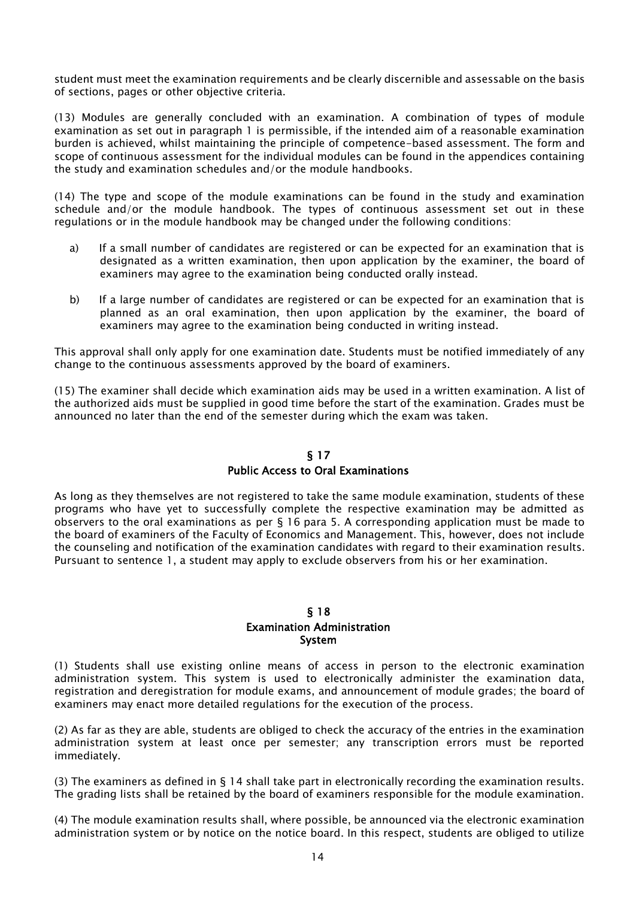student must meet the examination requirements and be clearly discernible and assessable on the basis of sections, pages or other objective criteria.

(13) Modules are generally concluded with an examination. A combination of types of module examination as set out in paragraph 1 is permissible, if the intended aim of a reasonable examination burden is achieved, whilst maintaining the principle of competence-based assessment. The form and scope of continuous assessment for the individual modules can be found in the appendices containing the study and examination schedules and/or the module handbooks.

(14) The type and scope of the module examinations can be found in the study and examination schedule and/or the module handbook. The types of continuous assessment set out in these regulations or in the module handbook may be changed under the following conditions:

- a) If a small number of candidates are registered or can be expected for an examination that is designated as a written examination, then upon application by the examiner, the board of examiners may agree to the examination being conducted orally instead.
- b) If a large number of candidates are registered or can be expected for an examination that is planned as an oral examination, then upon application by the examiner, the board of examiners may agree to the examination being conducted in writing instead.

This approval shall only apply for one examination date. Students must be notified immediately of any change to the continuous assessments approved by the board of examiners.

(15) The examiner shall decide which examination aids may be used in a written examination. A list of the authorized aids must be supplied in good time before the start of the examination. Grades must be announced no later than the end of the semester during which the exam was taken.

## § 17 Public Access to Oral Examinations

As long as they themselves are not registered to take the same module examination, students of these programs who have yet to successfully complete the respective examination may be admitted as observers to the oral examinations as per § 16 para 5. A corresponding application must be made to the board of examiners of the Faculty of Economics and Management. This, however, does not include the counseling and notification of the examination candidates with regard to their examination results. Pursuant to sentence 1, a student may apply to exclude observers from his or her examination.

#### § 18 Examination Administration System

(1) Students shall use existing online means of access in person to the electronic examination administration system. This system is used to electronically administer the examination data, registration and deregistration for module exams, and announcement of module grades; the board of examiners may enact more detailed regulations for the execution of the process.

(2) As far as they are able, students are obliged to check the accuracy of the entries in the examination administration system at least once per semester; any transcription errors must be reported immediately.

(3) The examiners as defined in § 14 shall take part in electronically recording the examination results. The grading lists shall be retained by the board of examiners responsible for the module examination.

(4) The module examination results shall, where possible, be announced via the electronic examination administration system or by notice on the notice board. In this respect, students are obliged to utilize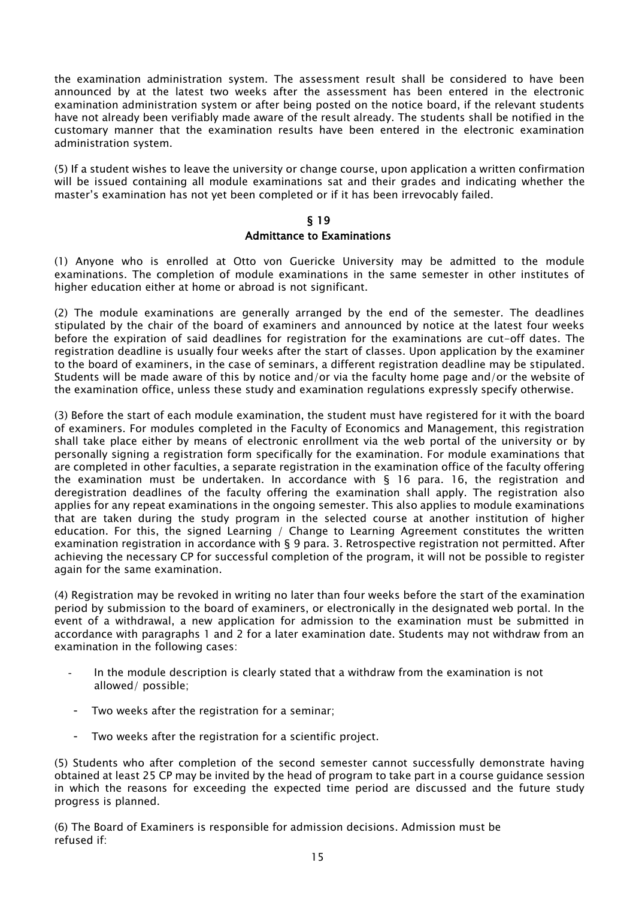the examination administration system. The assessment result shall be considered to have been announced by at the latest two weeks after the assessment has been entered in the electronic examination administration system or after being posted on the notice board, if the relevant students have not already been verifiably made aware of the result already. The students shall be notified in the customary manner that the examination results have been entered in the electronic examination administration system.

(5) If a student wishes to leave the university or change course, upon application a written confirmation will be issued containing all module examinations sat and their grades and indicating whether the master's examination has not yet been completed or if it has been irrevocably failed.

#### § 19

#### Admittance to Examinations

(1) Anyone who is enrolled at Otto von Guericke University may be admitted to the module examinations. The completion of module examinations in the same semester in other institutes of higher education either at home or abroad is not significant.

(2) The module examinations are generally arranged by the end of the semester. The deadlines stipulated by the chair of the board of examiners and announced by notice at the latest four weeks before the expiration of said deadlines for registration for the examinations are cut-off dates. The registration deadline is usually four weeks after the start of classes. Upon application by the examiner to the board of examiners, in the case of seminars, a different registration deadline may be stipulated. Students will be made aware of this by notice and/or via the faculty home page and/or the website of the examination office, unless these study and examination regulations expressly specify otherwise.

(3) Before the start of each module examination, the student must have registered for it with the board of examiners. For modules completed in the Faculty of Economics and Management, this registration shall take place either by means of electronic enrollment via the web portal of the university or by personally signing a registration form specifically for the examination. For module examinations that are completed in other faculties, a separate registration in the examination office of the faculty offering the examination must be undertaken. In accordance with  $\S$  16 para. 16, the registration and deregistration deadlines of the faculty offering the examination shall apply. The registration also applies for any repeat examinations in the ongoing semester. This also applies to module examinations that are taken during the study program in the selected course at another institution of higher education. For this, the signed Learning / Change to Learning Agreement constitutes the written examination registration in accordance with § 9 para. 3. Retrospective registration not permitted. After achieving the necessary CP for successful completion of the program, it will not be possible to register again for the same examination.

(4) Registration may be revoked in writing no later than four weeks before the start of the examination period by submission to the board of examiners, or electronically in the designated web portal. In the event of a withdrawal, a new application for admission to the examination must be submitted in accordance with paragraphs 1 and 2 for a later examination date. Students may not withdraw from an examination in the following cases:

- In the module description is clearly stated that a withdraw from the examination is not allowed/ possible;
- Two weeks after the registration for a seminar;
- Two weeks after the registration for a scientific project.

(5) Students who after completion of the second semester cannot successfully demonstrate having obtained at least 25 CP may be invited by the head of program to take part in a course guidance session in which the reasons for exceeding the expected time period are discussed and the future study progress is planned.

(6) The Board of Examiners is responsible for admission decisions. Admission must be refused if: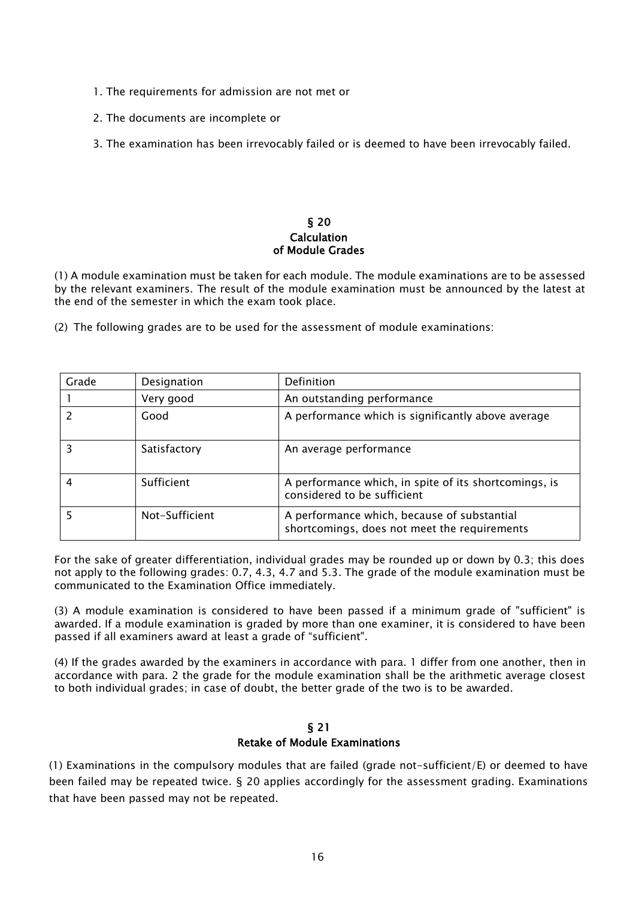- 1. The requirements for admission are not met or
- 2. The documents are incomplete or
- 3. The examination has been irrevocably failed or is deemed to have been irrevocably failed.

#### § 20 **Calculation** of Module Grades

(1) A module examination must be taken for each module. The module examinations are to be assessed by the relevant examiners. The result of the module examination must be announced by the latest at the end of the semester in which the exam took place.

(2) The following grades are to be used for the assessment of module examinations:

| Grade | Designation    | Definition                                                                                  |
|-------|----------------|---------------------------------------------------------------------------------------------|
|       | Very good      | An outstanding performance                                                                  |
|       | Good           | A performance which is significantly above average                                          |
|       | Satisfactory   | An average performance                                                                      |
|       | Sufficient     | A performance which, in spite of its shortcomings, is<br>considered to be sufficient        |
|       | Not-Sufficient | A performance which, because of substantial<br>shortcomings, does not meet the requirements |

For the sake of greater differentiation, individual grades may be rounded up or down by 0.3; this does not apply to the following grades: 0.7, 4.3, 4.7 and 5.3. The grade of the module examination must be communicated to the Examination Office immediately.

(3) A module examination is considered to have been passed if a minimum grade of "sufficient" is awarded. If a module examination is graded by more than one examiner, it is considered to have been passed if all examiners award at least a grade of "sufficient".

(4) If the grades awarded by the examiners in accordance with para. 1 differ from one another, then in accordance with para. 2 the grade for the module examination shall be the arithmetic average closest to both individual grades; in case of doubt, the better grade of the two is to be awarded.

#### § 21 Retake of Module Examinations

(1) Examinations in the compulsory modules that are failed (grade not-sufficient/E) or deemed to have been failed may be repeated twice. § 20 applies accordingly for the assessment grading. Examinations that have been passed may not be repeated.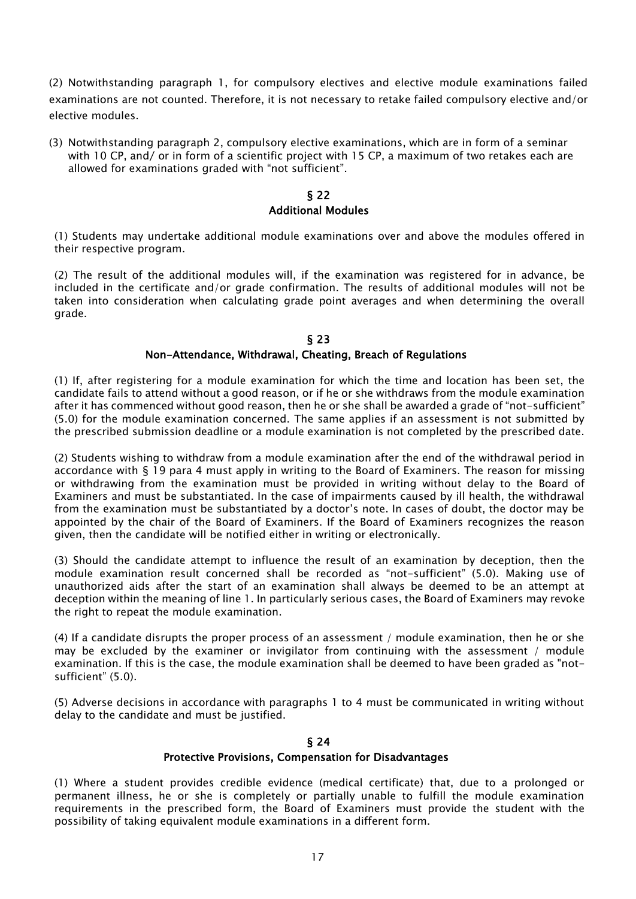(2) Notwithstanding paragraph 1, for compulsory electives and elective module examinations failed examinations are not counted. Therefore, it is not necessary to retake failed compulsory elective and/or elective modules.

(3) Notwithstanding paragraph 2, compulsory elective examinations, which are in form of a seminar with 10 CP, and/ or in form of a scientific project with 15 CP, a maximum of two retakes each are allowed for examinations graded with "not sufficient".

## § 22 Additional Modules

(1) Students may undertake additional module examinations over and above the modules offered in their respective program.

(2) The result of the additional modules will, if the examination was registered for in advance, be included in the certificate and/or grade confirmation. The results of additional modules will not be taken into consideration when calculating grade point averages and when determining the overall grade.

#### § 23 Non-Attendance, Withdrawal, Cheating, Breach of Regulations

(1) If, after registering for a module examination for which the time and location has been set, the candidate fails to attend without a good reason, or if he or she withdraws from the module examination after it has commenced without good reason, then he or she shall be awarded a grade of "not-sufficient" (5.0) for the module examination concerned. The same applies if an assessment is not submitted by the prescribed submission deadline or a module examination is not completed by the prescribed date.

(2) Students wishing to withdraw from a module examination after the end of the withdrawal period in accordance with § 19 para 4 must apply in writing to the Board of Examiners. The reason for missing or withdrawing from the examination must be provided in writing without delay to the Board of Examiners and must be substantiated. In the case of impairments caused by ill health, the withdrawal from the examination must be substantiated by a doctor's note. In cases of doubt, the doctor may be appointed by the chair of the Board of Examiners. If the Board of Examiners recognizes the reason given, then the candidate will be notified either in writing or electronically.

(3) Should the candidate attempt to influence the result of an examination by deception, then the module examination result concerned shall be recorded as "not-sufficient" (5.0). Making use of unauthorized aids after the start of an examination shall always be deemed to be an attempt at deception within the meaning of line 1. In particularly serious cases, the Board of Examiners may revoke the right to repeat the module examination.

(4) If a candidate disrupts the proper process of an assessment / module examination, then he or she may be excluded by the examiner or invigilator from continuing with the assessment / module examination. If this is the case, the module examination shall be deemed to have been graded as "notsufficient" (5.0).

(5) Adverse decisions in accordance with paragraphs 1 to 4 must be communicated in writing without delay to the candidate and must be justified.

#### § 24 Protective Provisions, Compensation for Disadvantages

(1) Where a student provides credible evidence (medical certificate) that, due to a prolonged or permanent illness, he or she is completely or partially unable to fulfill the module examination requirements in the prescribed form, the Board of Examiners must provide the student with the possibility of taking equivalent module examinations in a different form.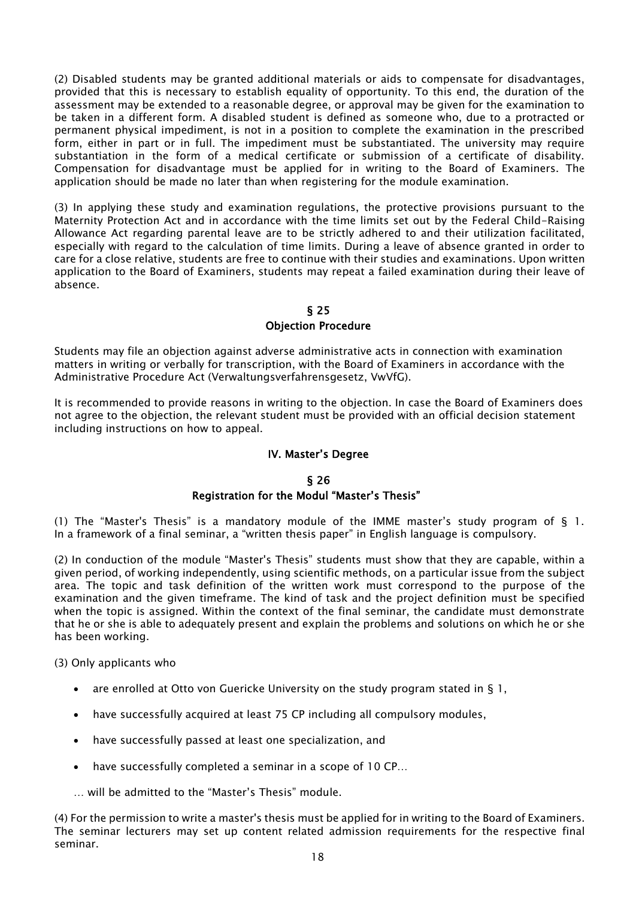(2) Disabled students may be granted additional materials or aids to compensate for disadvantages, provided that this is necessary to establish equality of opportunity. To this end, the duration of the assessment may be extended to a reasonable degree, or approval may be given for the examination to be taken in a different form. A disabled student is defined as someone who, due to a protracted or permanent physical impediment, is not in a position to complete the examination in the prescribed form, either in part or in full. The impediment must be substantiated. The university may require substantiation in the form of a medical certificate or submission of a certificate of disability. Compensation for disadvantage must be applied for in writing to the Board of Examiners. The application should be made no later than when registering for the module examination.

(3) In applying these study and examination regulations, the protective provisions pursuant to the Maternity Protection Act and in accordance with the time limits set out by the Federal Child-Raising Allowance Act regarding parental leave are to be strictly adhered to and their utilization facilitated, especially with regard to the calculation of time limits. During a leave of absence granted in order to care for a close relative, students are free to continue with their studies and examinations. Upon written application to the Board of Examiners, students may repeat a failed examination during their leave of absence.

## § 25 Objection Procedure

Students may file an objection against adverse administrative acts in connection with examination matters in writing or verbally for transcription, with the Board of Examiners in accordance with the Administrative Procedure Act (Verwaltungsverfahrensgesetz, VwVfG).

It is recommended to provide reasons in writing to the objection. In case the Board of Examiners does not agree to the objection, the relevant student must be provided with an official decision statement including instructions on how to appeal.

## IV. Master's Degree

#### § 26

## Registration for the Modul "Master's Thesis"

(1) The "Master's Thesis" is a mandatory module of the IMME master's study program of § 1. In a framework of a final seminar, a "written thesis paper" in English language is compulsory.

(2) In conduction of the module "Master's Thesis" students must show that they are capable, within a given period, of working independently, using scientific methods, on a particular issue from the subject area. The topic and task definition of the written work must correspond to the purpose of the examination and the given timeframe. The kind of task and the project definition must be specified when the topic is assigned. Within the context of the final seminar, the candidate must demonstrate that he or she is able to adequately present and explain the problems and solutions on which he or she has been working.

(3) Only applicants who

- are enrolled at Otto von Guericke University on the study program stated in § 1,
- have successfully acquired at least 75 CP including all compulsory modules,
- have successfully passed at least one specialization, and
- have successfully completed a seminar in a scope of 10 CP…
- will be admitted to the "Master's Thesis" module.

(4) For the permission to write a master's thesis must be applied for in writing to the Board of Examiners. The seminar lecturers may set up content related admission requirements for the respective final seminar.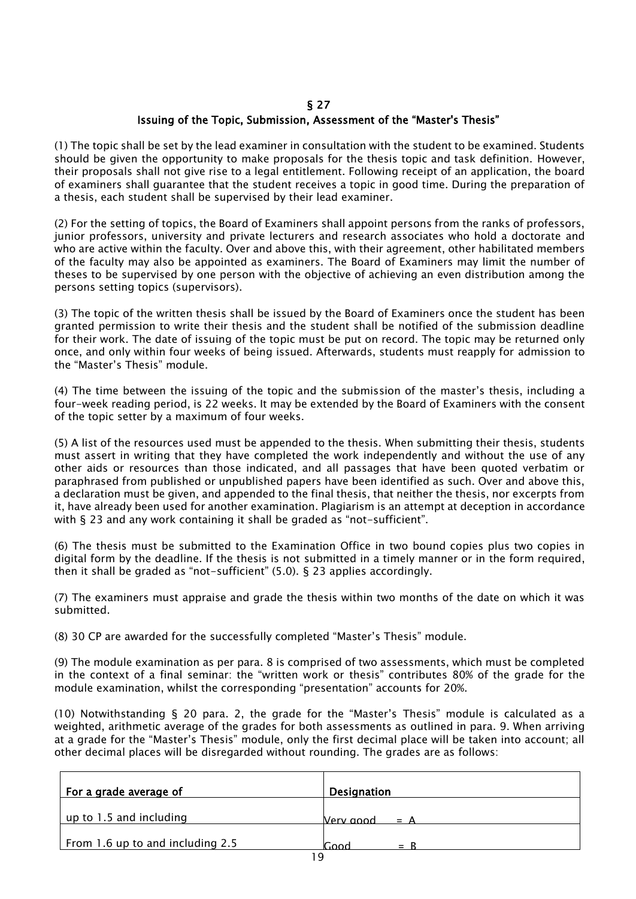#### § 27 Issuing of the Topic, Submission, Assessment of the "Master's Thesis"

(1) The topic shall be set by the lead examiner in consultation with the student to be examined. Students should be given the opportunity to make proposals for the thesis topic and task definition. However, their proposals shall not give rise to a legal entitlement. Following receipt of an application, the board of examiners shall guarantee that the student receives a topic in good time. During the preparation of a thesis, each student shall be supervised by their lead examiner.

(2) For the setting of topics, the Board of Examiners shall appoint persons from the ranks of professors, junior professors, university and private lecturers and research associates who hold a doctorate and who are active within the faculty. Over and above this, with their agreement, other habilitated members of the faculty may also be appointed as examiners. The Board of Examiners may limit the number of theses to be supervised by one person with the objective of achieving an even distribution among the persons setting topics (supervisors).

(3) The topic of the written thesis shall be issued by the Board of Examiners once the student has been granted permission to write their thesis and the student shall be notified of the submission deadline for their work. The date of issuing of the topic must be put on record. The topic may be returned only once, and only within four weeks of being issued. Afterwards, students must reapply for admission to the "Master's Thesis" module.

(4) The time between the issuing of the topic and the submission of the master's thesis, including a four-week reading period, is 22 weeks. It may be extended by the Board of Examiners with the consent of the topic setter by a maximum of four weeks.

(5) A list of the resources used must be appended to the thesis. When submitting their thesis, students must assert in writing that they have completed the work independently and without the use of any other aids or resources than those indicated, and all passages that have been quoted verbatim or paraphrased from published or unpublished papers have been identified as such. Over and above this, a declaration must be given, and appended to the final thesis, that neither the thesis, nor excerpts from it, have already been used for another examination. Plagiarism is an attempt at deception in accordance with § 23 and any work containing it shall be graded as "not-sufficient".

(6) The thesis must be submitted to the Examination Office in two bound copies plus two copies in digital form by the deadline. If the thesis is not submitted in a timely manner or in the form required, then it shall be graded as "not-sufficient" (5.0). § 23 applies accordingly.

(7) The examiners must appraise and grade the thesis within two months of the date on which it was submitted.

(8) 30 CP are awarded for the successfully completed "Master's Thesis" module.

(9) The module examination as per para. 8 is comprised of two assessments, which must be completed in the context of a final seminar: the "written work or thesis" contributes 80% of the grade for the module examination, whilst the corresponding "presentation" accounts for 20%.

(10) Notwithstanding § 20 para. 2, the grade for the "Master's Thesis" module is calculated as a weighted, arithmetic average of the grades for both assessments as outlined in para. 9. When arriving at a grade for the "Master's Thesis" module, only the first decimal place will be taken into account; all other decimal places will be disregarded without rounding. The grades are as follows:

| For a grade average of           | Designation          |
|----------------------------------|----------------------|
| up to 1.5 and including          | Nerv good $= A$      |
| From 1.6 up to and including 2.5 | <b>Cood</b><br>$= R$ |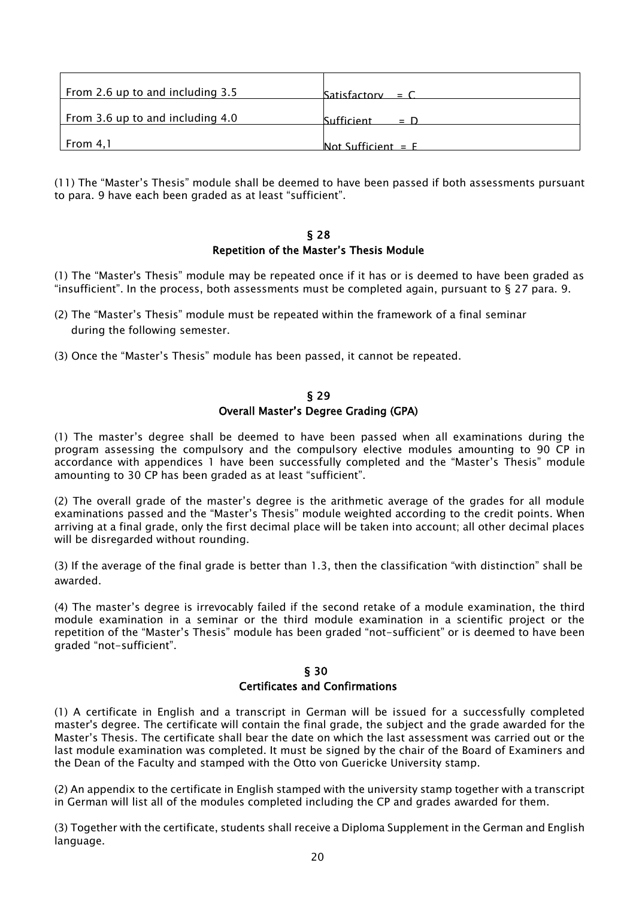| From 2.6 up to and including 3.5 | $Satisfactory = C$          |
|----------------------------------|-----------------------------|
| From 3.6 up to and including 4.0 | <b>Sufficient</b><br>$\Box$ |
| From $4,1$                       | Not Sufficient $=$ E        |

(11) The "Master's Thesis" module shall be deemed to have been passed if both assessments pursuant to para. 9 have each been graded as at least "sufficient".

#### § 28 Repetition of the Master's Thesis Module

(1) The "Master's Thesis" module may be repeated once if it has or is deemed to have been graded as "insufficient". In the process, both assessments must be completed again, pursuant to § 27 para. 9.

- (2) The "Master's Thesis" module must be repeated within the framework of a final seminar during the following semester.
- (3) Once the "Master's Thesis" module has been passed, it cannot be repeated.

## § 29 Overall Master's Degree Grading (GPA)

(1) The master's degree shall be deemed to have been passed when all examinations during the program assessing the compulsory and the compulsory elective modules amounting to 90 CP in accordance with appendices 1 have been successfully completed and the "Master's Thesis" module amounting to 30 CP has been graded as at least "sufficient".

(2) The overall grade of the master's degree is the arithmetic average of the grades for all module examinations passed and the "Master's Thesis" module weighted according to the credit points. When arriving at a final grade, only the first decimal place will be taken into account; all other decimal places will be disregarded without rounding.

(3) If the average of the final grade is better than 1.3, then the classification "with distinction" shall be awarded.

(4) The master's degree is irrevocably failed if the second retake of a module examination, the third module examination in a seminar or the third module examination in a scientific project or the repetition of the "Master's Thesis" module has been graded "not-sufficient" or is deemed to have been graded "not-sufficient".

#### § 30 Certificates and Confirmations

(1) A certificate in English and a transcript in German will be issued for a successfully completed master's degree. The certificate will contain the final grade, the subject and the grade awarded for the Master's Thesis. The certificate shall bear the date on which the last assessment was carried out or the last module examination was completed. It must be signed by the chair of the Board of Examiners and the Dean of the Faculty and stamped with the Otto von Guericke University stamp.

(2) An appendix to the certificate in English stamped with the university stamp together with a transcript in German will list all of the modules completed including the CP and grades awarded for them.

(3) Together with the certificate, students shall receive a Diploma Supplement in the German and English language.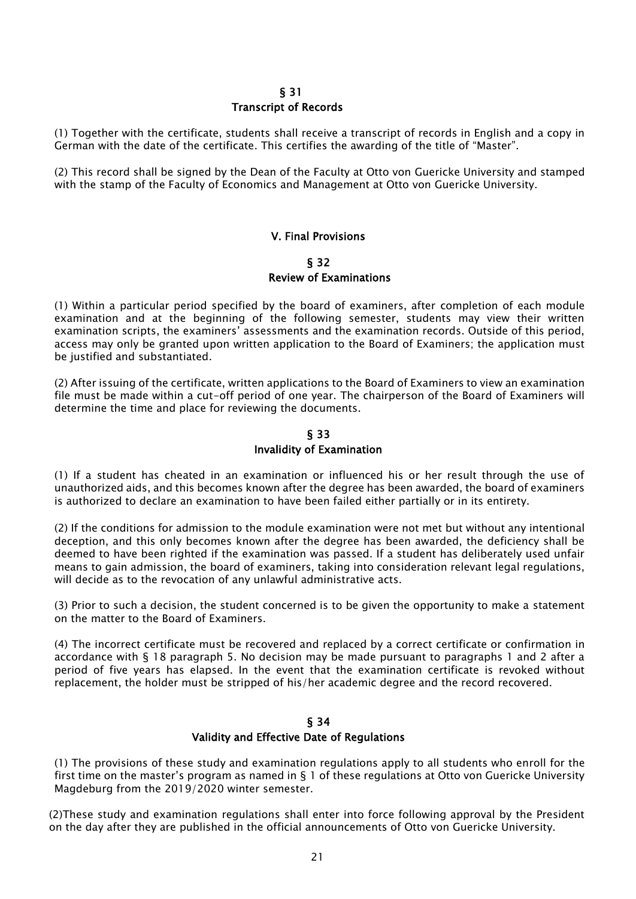### $\sim$  5.31 Transcript of Records

(1) Together with the certificate, students shall receive a transcript of records in English and a copy in German with the date of the certificate. This certifies the awarding of the title of "Master".

(2) This record shall be signed by the Dean of the Faculty at Otto von Guericke University and stamped with the stamp of the Faculty of Economics and Management at Otto von Guericke University.

#### V. Final Provisions

§ 32 Review of Examinations

(1) Within a particular period specified by the board of examiners, after completion of each module examination and at the beginning of the following semester, students may view their written examination scripts, the examiners' assessments and the examination records. Outside of this period, access may only be granted upon written application to the Board of Examiners; the application must be justified and substantiated.

(2) After issuing of the certificate, written applications to the Board of Examiners to view an examination file must be made within a cut-off period of one year. The chairperson of the Board of Examiners will determine the time and place for reviewing the documents.

## § 33 Invalidity of Examination

(1) If a student has cheated in an examination or influenced his or her result through the use of unauthorized aids, and this becomes known after the degree has been awarded, the board of examiners is authorized to declare an examination to have been failed either partially or in its entirety.

(2) If the conditions for admission to the module examination were not met but without any intentional deception, and this only becomes known after the degree has been awarded, the deficiency shall be deemed to have been righted if the examination was passed. If a student has deliberately used unfair means to gain admission, the board of examiners, taking into consideration relevant legal regulations, will decide as to the revocation of any unlawful administrative acts.

(3) Prior to such a decision, the student concerned is to be given the opportunity to make a statement on the matter to the Board of Examiners.

(4) The incorrect certificate must be recovered and replaced by a correct certificate or confirmation in accordance with § 18 paragraph 5. No decision may be made pursuant to paragraphs 1 and 2 after a period of five years has elapsed. In the event that the examination certificate is revoked without replacement, the holder must be stripped of his/her academic degree and the record recovered.

#### § 34

#### Validity and Effective Date of Regulations

(1) The provisions of these study and examination regulations apply to all students who enroll for the first time on the master's program as named in § 1 of these regulations at Otto von Guericke University Magdeburg from the 2019/2020 winter semester.

(2)These study and examination regulations shall enter into force following approval by the President on the day after they are published in the official announcements of Otto von Guericke University.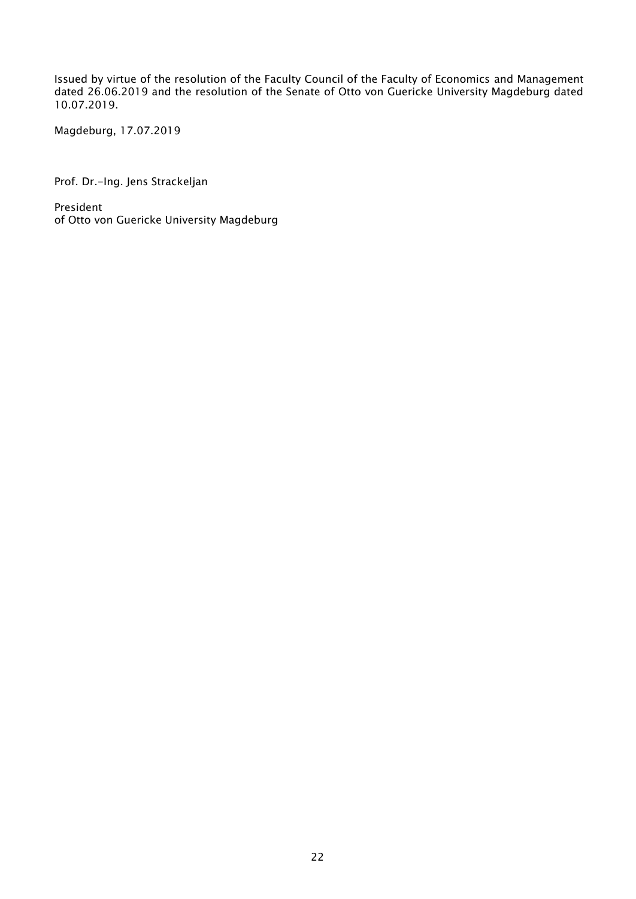Issued by virtue of the resolution of the Faculty Council of the Faculty of Economics and Management dated 26.06.2019 and the resolution of the Senate of Otto von Guericke University Magdeburg dated 10.07.2019.

Magdeburg, 17.07.2019

Prof. Dr.-Ing. Jens Strackeljan

President of Otto von Guericke University Magdeburg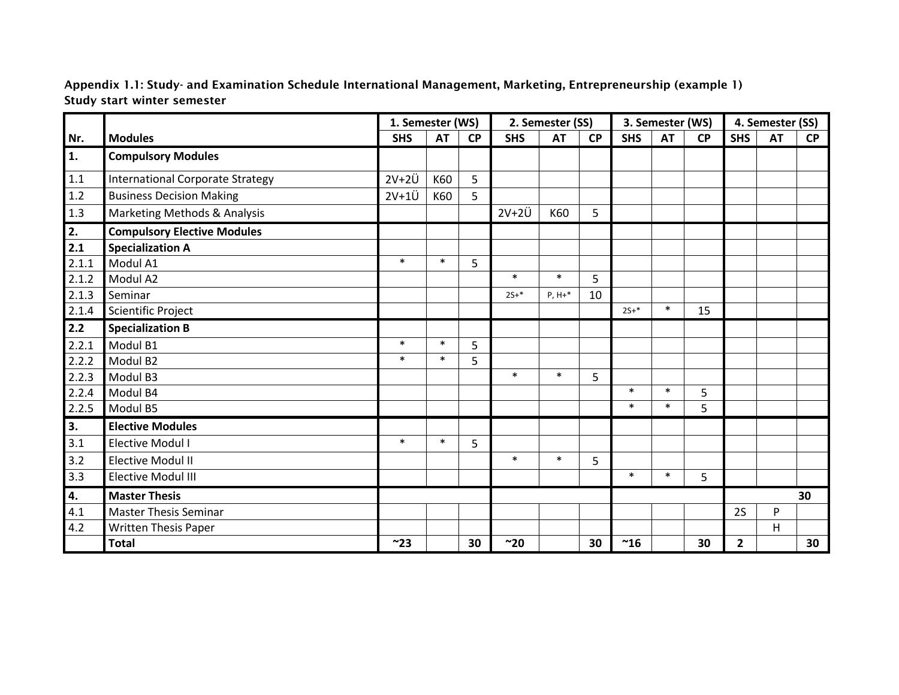Appendix 1.1: Study- and Examination Schedule International Management, Marketing, Entrepreneurship (example 1) Study start winter semester

|         |                                         | 1. Semester (WS) |           |           | 2. Semester (SS) |           |           |            | 3. Semester (WS) |           | 4. Semester (SS) |           |           |
|---------|-----------------------------------------|------------------|-----------|-----------|------------------|-----------|-----------|------------|------------------|-----------|------------------|-----------|-----------|
| Nr.     | <b>Modules</b>                          | <b>SHS</b>       | <b>AT</b> | <b>CP</b> | <b>SHS</b>       | <b>AT</b> | <b>CP</b> | <b>SHS</b> | <b>AT</b>        | <b>CP</b> | <b>SHS</b>       | <b>AT</b> | <b>CP</b> |
| 1.      | <b>Compulsory Modules</b>               |                  |           |           |                  |           |           |            |                  |           |                  |           |           |
| 1.1     | <b>International Corporate Strategy</b> | $2V+2U$          | K60       | 5         |                  |           |           |            |                  |           |                  |           |           |
| 1.2     | <b>Business Decision Making</b>         | $2V+1U$          | K60       | 5         |                  |           |           |            |                  |           |                  |           |           |
| $1.3\,$ | Marketing Methods & Analysis            |                  |           |           | $2V+2U$          | K60       | 5         |            |                  |           |                  |           |           |
| 2.      | <b>Compulsory Elective Modules</b>      |                  |           |           |                  |           |           |            |                  |           |                  |           |           |
| 2.1     | <b>Specialization A</b>                 |                  |           |           |                  |           |           |            |                  |           |                  |           |           |
| 2.1.1   | Modul A1                                | $\ast$           | $\ast$    | 5         |                  |           |           |            |                  |           |                  |           |           |
| 2.1.2   | Modul A2                                |                  |           |           | $\ast$           | $\ast$    | 5         |            |                  |           |                  |           |           |
| 2.1.3   | Seminar                                 |                  |           |           | $2S+*$           | $P, H+*$  | 10        |            |                  |           |                  |           |           |
| 2.1.4   | Scientific Project                      |                  |           |           |                  |           |           | $2S+*$     | $\ast$           | 15        |                  |           |           |
| 2.2     | <b>Specialization B</b>                 |                  |           |           |                  |           |           |            |                  |           |                  |           |           |
| 2.2.1   | Modul B1                                | $\ast$           | $\ast$    | 5         |                  |           |           |            |                  |           |                  |           |           |
| 2.2.2   | Modul B <sub>2</sub>                    | $\ast$           | $\ast$    | 5         |                  |           |           |            |                  |           |                  |           |           |
| 2.2.3   | Modul B3                                |                  |           |           | $\ast$           | $\ast$    | 5         |            |                  |           |                  |           |           |
| 2.2.4   | Modul B4                                |                  |           |           |                  |           |           | $\ast$     | $\ast$           | 5         |                  |           |           |
| 2.2.5   | Modul B5                                |                  |           |           |                  |           |           | $\ast$     | $\ast$           | 5         |                  |           |           |
| 3.      | <b>Elective Modules</b>                 |                  |           |           |                  |           |           |            |                  |           |                  |           |           |
| 3.1     | <b>Elective Modul I</b>                 | $\ast$           | $\ast$    | 5         |                  |           |           |            |                  |           |                  |           |           |
| 3.2     | <b>Elective Modul II</b>                |                  |           |           | $\ast$           | $\ast$    | 5         |            |                  |           |                  |           |           |
| 3.3     | <b>Elective Modul III</b>               |                  |           |           |                  |           |           | $\ast$     | $\ast$           | 5         |                  |           |           |
| 4.      | <b>Master Thesis</b>                    |                  |           |           |                  |           |           |            |                  |           |                  |           | 30        |
| 4.1     | Master Thesis Seminar                   |                  |           |           |                  |           |           |            |                  |           | 2S               | P         |           |
| 4.2     | Written Thesis Paper                    |                  |           |           |                  |           |           |            |                  |           |                  | Η         |           |
|         | <b>Total</b>                            | ~23              |           | 30        | ~20              |           | 30        | ~16        |                  | 30        | $\mathbf{2}$     |           | 30        |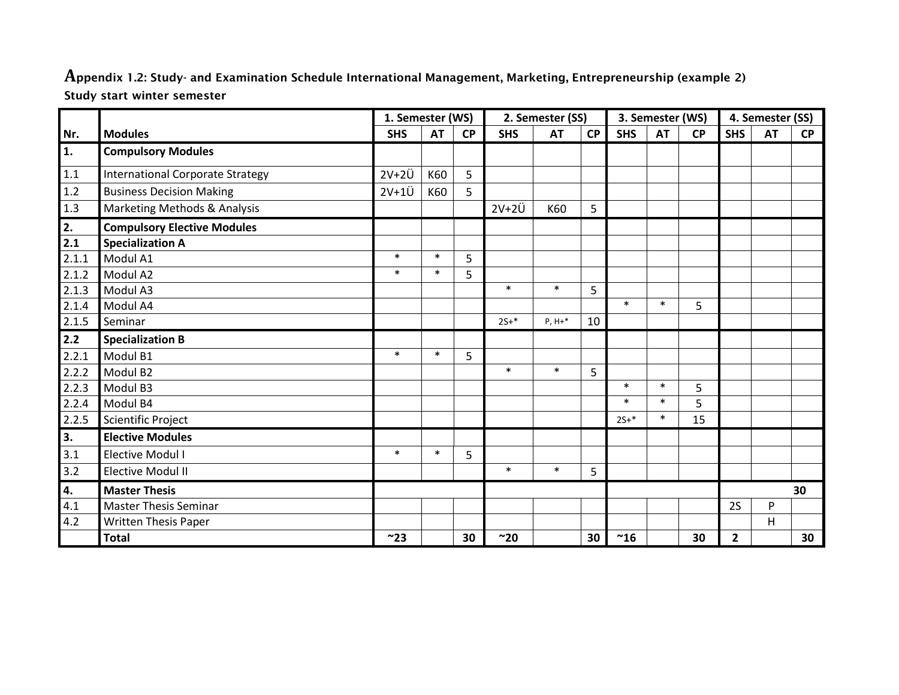**A**ppendix 1.2: Study- and Examination Schedule International Management, Marketing, Entrepreneurship (example 2) Study start winter semester

|         |                                         | 1. Semester (WS) |           |           | 2. Semester (SS) |           |           |            | 3. Semester (WS) |           | 4. Semester (SS) |           |           |
|---------|-----------------------------------------|------------------|-----------|-----------|------------------|-----------|-----------|------------|------------------|-----------|------------------|-----------|-----------|
| Nr.     | <b>Modules</b>                          | <b>SHS</b>       | <b>AT</b> | <b>CP</b> | <b>SHS</b>       | <b>AT</b> | <b>CP</b> | <b>SHS</b> | <b>AT</b>        | <b>CP</b> | <b>SHS</b>       | <b>AT</b> | <b>CP</b> |
| 1.      | <b>Compulsory Modules</b>               |                  |           |           |                  |           |           |            |                  |           |                  |           |           |
| $1.1\,$ | <b>International Corporate Strategy</b> | $2V+2Ü$          | K60       | 5         |                  |           |           |            |                  |           |                  |           |           |
| $1.2\,$ | <b>Business Decision Making</b>         | $2V+1U$          | K60       | 5         |                  |           |           |            |                  |           |                  |           |           |
| $1.3\,$ | Marketing Methods & Analysis            |                  |           |           | $2V+2Ü$          | K60       | 5         |            |                  |           |                  |           |           |
| 2.      | <b>Compulsory Elective Modules</b>      |                  |           |           |                  |           |           |            |                  |           |                  |           |           |
| 2.1     | <b>Specialization A</b>                 |                  |           |           |                  |           |           |            |                  |           |                  |           |           |
| 2.1.1   | Modul A1                                | $\ast$           | $\ast$    | 5         |                  |           |           |            |                  |           |                  |           |           |
| 2.1.2   | Modul A2                                | $\ast$           | $\ast$    | 5         |                  |           |           |            |                  |           |                  |           |           |
| 2.1.3   | Modul A3                                |                  |           |           | $\ast$           | $\ast$    | 5         |            |                  |           |                  |           |           |
| 2.1.4   | Modul A4                                |                  |           |           |                  |           |           | $\ast$     | $\ast$           | 5         |                  |           |           |
| 2.1.5   | Seminar                                 |                  |           |           | $2S+*$           | $P, H+*$  | 10        |            |                  |           |                  |           |           |
| 2.2     | <b>Specialization B</b>                 |                  |           |           |                  |           |           |            |                  |           |                  |           |           |
| 2.2.1   | Modul B1                                | $\ast$           | $\ast$    | 5         |                  |           |           |            |                  |           |                  |           |           |
| 2.2.2   | Modul B2                                |                  |           |           | $\ast$           | $\ast$    | 5         |            |                  |           |                  |           |           |
| 2.2.3   | Modul B3                                |                  |           |           |                  |           |           | $\ast$     | $\ast$           | 5         |                  |           |           |
| 2.2.4   | Modul B4                                |                  |           |           |                  |           |           | $\ast$     | $\ast$           | 5         |                  |           |           |
| 2.2.5   | Scientific Project                      |                  |           |           |                  |           |           | $2S+*$     | $\ast$           | 15        |                  |           |           |
| 3.      | <b>Elective Modules</b>                 |                  |           |           |                  |           |           |            |                  |           |                  |           |           |
| 3.1     | Elective Modul I                        | $\ast$           | $\ast$    | 5         |                  |           |           |            |                  |           |                  |           |           |
| 3.2     | <b>Elective Modul II</b>                |                  |           |           | $\ast$           | $\ast$    | 5         |            |                  |           |                  |           |           |
| 4.      | <b>Master Thesis</b>                    |                  |           |           |                  |           |           |            |                  |           | 30               |           |           |
| 4.1     | <b>Master Thesis Seminar</b>            |                  |           |           |                  |           |           |            |                  |           | 2S               | P         |           |
| 4.2     | <b>Written Thesis Paper</b>             |                  |           |           |                  |           |           |            |                  |           |                  | H         |           |
|         | <b>Total</b>                            | ~23              |           | 30        | ~20              |           | 30        | ~16        |                  | 30        | $\overline{2}$   |           | 30        |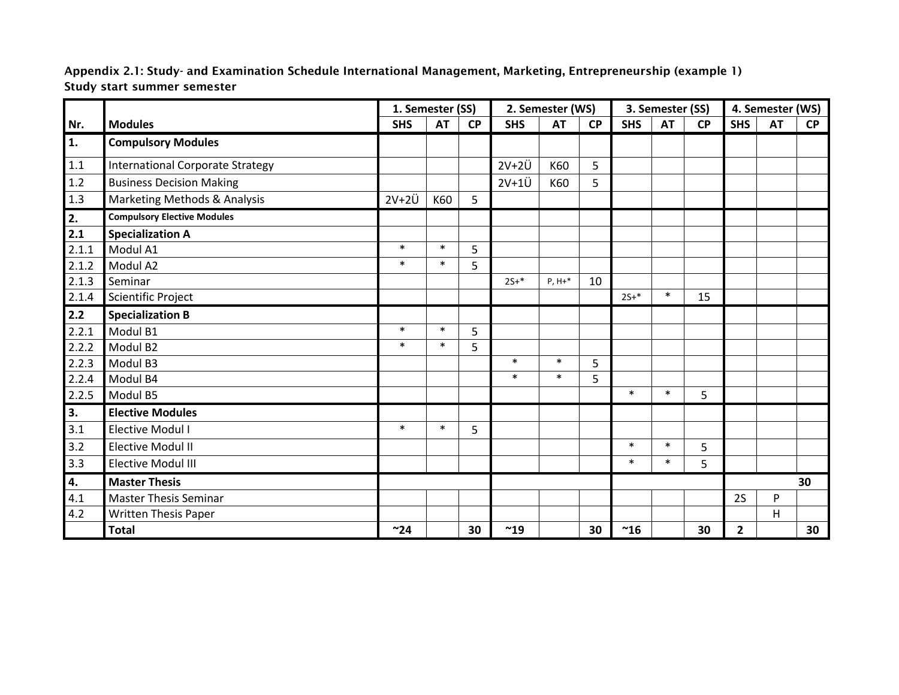Appendix 2.1: Study- and Examination Schedule International Management, Marketing, Entrepreneurship (example 1) Study start summer semester

|         |                                         | 1. Semester (SS) |           | 2. Semester (WS) |            |           |           | 3. Semester (SS) |           | 4. Semester (WS) |                |           |           |
|---------|-----------------------------------------|------------------|-----------|------------------|------------|-----------|-----------|------------------|-----------|------------------|----------------|-----------|-----------|
| Nr.     | <b>Modules</b>                          | <b>SHS</b>       | <b>AT</b> | <b>CP</b>        | <b>SHS</b> | <b>AT</b> | <b>CP</b> | <b>SHS</b>       | <b>AT</b> | <b>CP</b>        | <b>SHS</b>     | <b>AT</b> | <b>CP</b> |
| 1.      | <b>Compulsory Modules</b>               |                  |           |                  |            |           |           |                  |           |                  |                |           |           |
| 1.1     | <b>International Corporate Strategy</b> |                  |           |                  | $2V+2Ü$    | K60       | 5         |                  |           |                  |                |           |           |
| $1.2\,$ | <b>Business Decision Making</b>         |                  |           |                  | $2V+1U$    | K60       | 5         |                  |           |                  |                |           |           |
| $1.3$   | Marketing Methods & Analysis            | $2V+2Ü$          | K60       | 5                |            |           |           |                  |           |                  |                |           |           |
| 2.      | <b>Compulsory Elective Modules</b>      |                  |           |                  |            |           |           |                  |           |                  |                |           |           |
| 2.1     | <b>Specialization A</b>                 |                  |           |                  |            |           |           |                  |           |                  |                |           |           |
| 2.1.1   | Modul A1                                | $\ast$           | $\ast$    | 5                |            |           |           |                  |           |                  |                |           |           |
| 2.1.2   | Modul A2                                | $\ast$           | $\ast$    | 5                |            |           |           |                  |           |                  |                |           |           |
| 2.1.3   | Seminar                                 |                  |           |                  | $25 + *$   | $P, H+*$  | 10        |                  |           |                  |                |           |           |
| 2.1.4   | Scientific Project                      |                  |           |                  |            |           |           | $2S+*$           | $\ast$    | 15               |                |           |           |
| $2.2$   | <b>Specialization B</b>                 |                  |           |                  |            |           |           |                  |           |                  |                |           |           |
| 2.2.1   | Modul B1                                | $\ast$           | $\ast$    | 5                |            |           |           |                  |           |                  |                |           |           |
| 2.2.2   | Modul B <sub>2</sub>                    | $\ast$           | $\ast$    | 5                |            |           |           |                  |           |                  |                |           |           |
| 2.2.3   | Modul B3                                |                  |           |                  | $\ast$     | $\ast$    | 5         |                  |           |                  |                |           |           |
| 2.2.4   | Modul B4                                |                  |           |                  | $\ast$     | $\ast$    | 5         |                  |           |                  |                |           |           |
| 2.2.5   | Modul B5                                |                  |           |                  |            |           |           | $\ast$           | $\ast$    | $5\phantom{.}$   |                |           |           |
| 3.      | <b>Elective Modules</b>                 |                  |           |                  |            |           |           |                  |           |                  |                |           |           |
| 3.1     | Elective Modul I                        | $\ast$           | $\ast$    | 5                |            |           |           |                  |           |                  |                |           |           |
| 3.2     | <b>Elective Modul II</b>                |                  |           |                  |            |           |           | $\ast$           | $\ast$    | 5                |                |           |           |
| 3.3     | <b>Elective Modul III</b>               |                  |           |                  |            |           |           | $\ast$           | $\ast$    | 5                |                |           |           |
| 4.      | <b>Master Thesis</b>                    |                  |           |                  |            |           |           |                  |           |                  |                |           | 30        |
| 4.1     | Master Thesis Seminar                   |                  |           |                  |            |           |           |                  |           |                  | 2S             | P         |           |
| 4.2     | Written Thesis Paper                    |                  |           |                  |            |           |           |                  |           |                  |                | H         |           |
|         | <b>Total</b>                            | ~24              |           | 30               | ~19        |           | 30        | ~16              |           | 30               | $\overline{2}$ |           | 30        |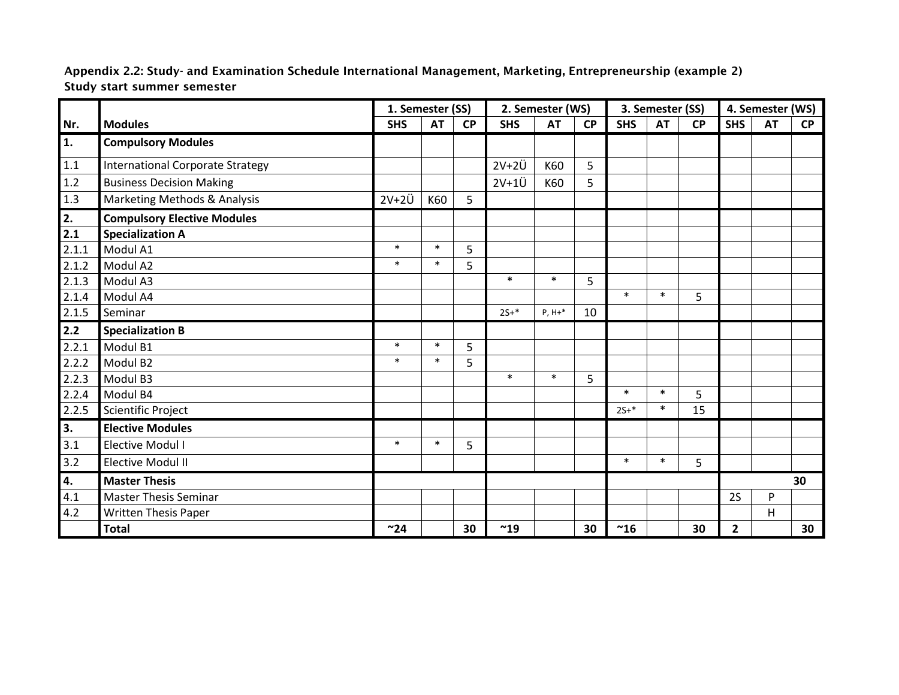Appendix 2.2: Study- and Examination Schedule International Management, Marketing, Entrepreneurship (example 2) Study start summer semester

|         |                                         | 1. Semester (SS) |           | 2. Semester (WS) |            |           |           | 3. Semester (SS) |           | 4. Semester (WS) |              |           |           |
|---------|-----------------------------------------|------------------|-----------|------------------|------------|-----------|-----------|------------------|-----------|------------------|--------------|-----------|-----------|
| Nr.     | <b>Modules</b>                          | <b>SHS</b>       | <b>AT</b> | <b>CP</b>        | <b>SHS</b> | <b>AT</b> | <b>CP</b> | <b>SHS</b>       | <b>AT</b> | <b>CP</b>        | <b>SHS</b>   | <b>AT</b> | <b>CP</b> |
| 1.      | <b>Compulsory Modules</b>               |                  |           |                  |            |           |           |                  |           |                  |              |           |           |
| $1.1\,$ | <b>International Corporate Strategy</b> |                  |           |                  | $2V+2U$    | K60       | 5         |                  |           |                  |              |           |           |
| 1.2     | <b>Business Decision Making</b>         |                  |           |                  | $2V+1U$    | K60       | 5         |                  |           |                  |              |           |           |
| 1.3     | Marketing Methods & Analysis            | $2V+2U$          | K60       | 5                |            |           |           |                  |           |                  |              |           |           |
| 2.      | <b>Compulsory Elective Modules</b>      |                  |           |                  |            |           |           |                  |           |                  |              |           |           |
| 2.1     | <b>Specialization A</b>                 |                  |           |                  |            |           |           |                  |           |                  |              |           |           |
| 2.1.1   | Modul A1                                | $\ast$           | $\ast$    | 5                |            |           |           |                  |           |                  |              |           |           |
| 2.1.2   | Modul A2                                | $\ast$           | $\ast$    | 5                |            |           |           |                  |           |                  |              |           |           |
| 2.1.3   | Modul A3                                |                  |           |                  | $\ast$     | $\ast$    | 5         |                  |           |                  |              |           |           |
| 2.1.4   | Modul A4                                |                  |           |                  |            |           |           | $\ast$           | $\ast$    | 5                |              |           |           |
| 2.1.5   | Seminar                                 |                  |           |                  | $2S+*$     | $P, H+*$  | 10        |                  |           |                  |              |           |           |
| 2.2     | <b>Specialization B</b>                 |                  |           |                  |            |           |           |                  |           |                  |              |           |           |
| 2.2.1   | Modul B1                                | $\ast$           | $\ast$    | 5                |            |           |           |                  |           |                  |              |           |           |
| 2.2.2   | Modul B <sub>2</sub>                    | $\ast$           | $\ast$    | 5                |            |           |           |                  |           |                  |              |           |           |
| 2.2.3   | Modul B3                                |                  |           |                  | $\ast$     | $\ast$    | 5         |                  |           |                  |              |           |           |
| 2.2.4   | Modul B4                                |                  |           |                  |            |           |           | $\ast$           | $\ast$    | 5                |              |           |           |
| 2.2.5   | <b>Scientific Project</b>               |                  |           |                  |            |           |           | $2S+*$           | $\ast$    | 15               |              |           |           |
| 3.      | <b>Elective Modules</b>                 |                  |           |                  |            |           |           |                  |           |                  |              |           |           |
| 3.1     | <b>Elective Modul I</b>                 | $\ast$           | $\ast$    | 5                |            |           |           |                  |           |                  |              |           |           |
| 3.2     | <b>Elective Modul II</b>                |                  |           |                  |            |           |           | $\ast$           | $\ast$    | 5                |              |           |           |
| 4.      | <b>Master Thesis</b>                    |                  |           |                  |            |           |           |                  |           |                  |              |           | 30        |
| 4.1     | <b>Master Thesis Seminar</b>            |                  |           |                  |            |           |           |                  |           |                  | <b>2S</b>    | P         |           |
| 4.2     | <b>Written Thesis Paper</b>             |                  |           |                  |            |           |           |                  |           |                  |              | Н         |           |
|         | <b>Total</b>                            | ~24              |           | 30               | ~19        |           | 30        | ~16              |           | 30               | $\mathbf{2}$ |           | 30        |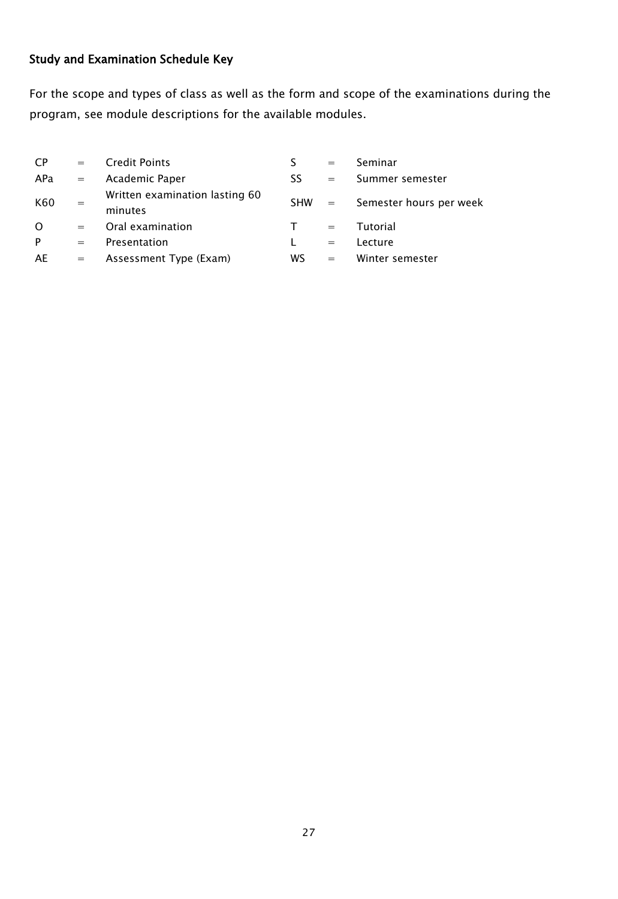# Study and Examination Schedule Key

For the scope and types of class as well as the form and scope of the examinations during the program, see module descriptions for the available modules.

| <b>CP</b> | $=$               | <b>Credit Points</b>                      |            | $=$               | Seminar                 |
|-----------|-------------------|-------------------------------------------|------------|-------------------|-------------------------|
| APa       | $=$               | Academic Paper                            | SS         | $=$               | Summer semester         |
| K60       | $=$               | Written examination lasting 60<br>minutes | <b>SHW</b> | $\alpha = \alpha$ | Semester hours per week |
| $\Omega$  | $=$               | Oral examination                          |            | $=$               | Tutorial                |
| P         | $=$               | Presentation                              |            | $=$               | Lecture                 |
| AE        | $\alpha = \alpha$ | Assessment Type (Exam)                    | WS         | $=$               | Winter semester         |
|           |                   |                                           |            |                   |                         |